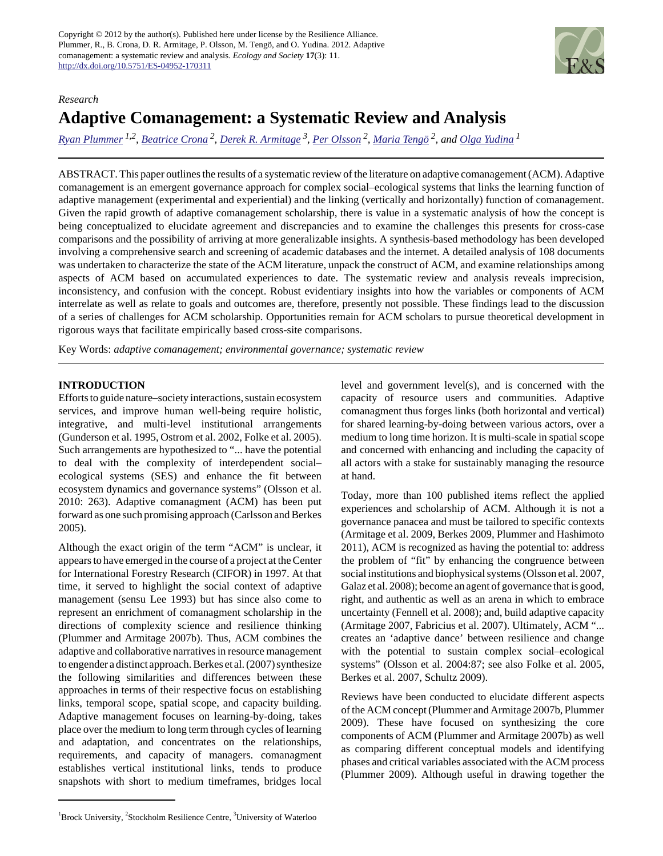Copyright © 2012 by the author(s). Published here under license by the Resilience Alliance. Plummer, R., B. Crona, D. R. Armitage, P. Olsson, M. Tengö, and O. Yudina. 2012. Adaptive comanagement: a systematic review and analysis. *Ecology and Society* **17**(3): 11. <http://dx.doi.org/10.5751/ES-04952-170311>



# *Research* **Adaptive Comanagement: a Systematic Review and Analysis**

*[Ryan Plummer](mailto:rplummer@brocku.ca) 1,2 , [Beatrice Crona](mailto:beatrice.crona@stockholmresilience.su.se)<sup>2</sup> , [Derek R. Armitage](mailto:darmitage@wlu.ca)<sup>3</sup> , [Per Olsson](mailto:per.olsson@stockholmresilience.su.se)<sup>2</sup> , [Maria Tengö](mailto:mtengo@ecology.su.se) 2, and [Olga Yudina](mailto:oy09dk@badger.ac.brocku.ca)<sup>1</sup>*

ABSTRACT. This paper outlines the results of a systematic review of the literature on adaptive comanagement (ACM). Adaptive comanagement is an emergent governance approach for complex social–ecological systems that links the learning function of adaptive management (experimental and experiential) and the linking (vertically and horizontally) function of comanagement. Given the rapid growth of adaptive comanagement scholarship, there is value in a systematic analysis of how the concept is being conceptualized to elucidate agreement and discrepancies and to examine the challenges this presents for cross-case comparisons and the possibility of arriving at more generalizable insights. A synthesis-based methodology has been developed involving a comprehensive search and screening of academic databases and the internet. A detailed analysis of 108 documents was undertaken to characterize the state of the ACM literature, unpack the construct of ACM, and examine relationships among aspects of ACM based on accumulated experiences to date. The systematic review and analysis reveals imprecision, inconsistency, and confusion with the concept. Robust evidentiary insights into how the variables or components of ACM interrelate as well as relate to goals and outcomes are, therefore, presently not possible. These findings lead to the discussion of a series of challenges for ACM scholarship. Opportunities remain for ACM scholars to pursue theoretical development in rigorous ways that facilitate empirically based cross-site comparisons.

Key Words: *adaptive comanagement; environmental governance; systematic review*

## **INTRODUCTION**

Efforts to guide nature–society interactions, sustain ecosystem services, and improve human well-being require holistic, integrative, and multi-level institutional arrangements (Gunderson et al. 1995, Ostrom et al. 2002, Folke et al. 2005). Such arrangements are hypothesized to "... have the potential to deal with the complexity of interdependent social– ecological systems (SES) and enhance the fit between ecosystem dynamics and governance systems" (Olsson et al. 2010: 263). Adaptive comanagment (ACM) has been put forward as one such promising approach (Carlsson and Berkes 2005).

Although the exact origin of the term "ACM" is unclear, it appears to have emerged in the course of a project at the Center for International Forestry Research (CIFOR) in 1997. At that time, it served to highlight the social context of adaptive management (sensu Lee 1993) but has since also come to represent an enrichment of comanagment scholarship in the directions of complexity science and resilience thinking (Plummer and Armitage 2007b). Thus, ACM combines the adaptive and collaborative narratives in resource management to engender a distinct approach. Berkes et al. (2007) synthesize the following similarities and differences between these approaches in terms of their respective focus on establishing links, temporal scope, spatial scope, and capacity building. Adaptive management focuses on learning-by-doing, takes place over the medium to long term through cycles of learning and adaptation, and concentrates on the relationships, requirements, and capacity of managers. comanagment establishes vertical institutional links, tends to produce snapshots with short to medium timeframes, bridges local level and government level(s), and is concerned with the capacity of resource users and communities. Adaptive comanagment thus forges links (both horizontal and vertical) for shared learning-by-doing between various actors, over a medium to long time horizon. It is multi-scale in spatial scope and concerned with enhancing and including the capacity of all actors with a stake for sustainably managing the resource at hand.

Today, more than 100 published items reflect the applied experiences and scholarship of ACM. Although it is not a governance panacea and must be tailored to specific contexts (Armitage et al. 2009, Berkes 2009, Plummer and Hashimoto 2011), ACM is recognized as having the potential to: address the problem of "fit" by enhancing the congruence between social institutions and biophysical systems (Olsson et al. 2007, Galaz et al. 2008); become an agent of governance that is good, right, and authentic as well as an arena in which to embrace uncertainty (Fennell et al. 2008); and, build adaptive capacity (Armitage 2007, Fabricius et al. 2007). Ultimately, ACM "... creates an 'adaptive dance' between resilience and change with the potential to sustain complex social–ecological systems" (Olsson et al. 2004:87; see also Folke et al. 2005, Berkes et al. 2007, Schultz 2009).

Reviews have been conducted to elucidate different aspects of the ACM concept (Plummer and Armitage 2007b, Plummer 2009). These have focused on synthesizing the core components of ACM (Plummer and Armitage 2007b) as well as comparing different conceptual models and identifying phases and critical variables associated with the ACM process (Plummer 2009). Although useful in drawing together the

 ${}^{1}$ Brock University,  ${}^{2}$ Stockholm Resilience Centre,  ${}^{3}$ University of Waterloo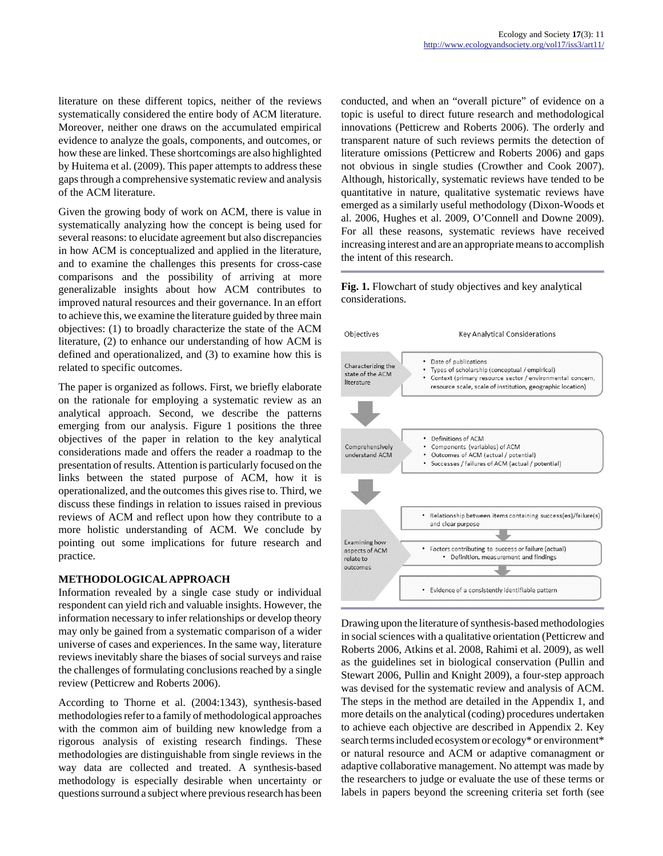literature on these different topics, neither of the reviews systematically considered the entire body of ACM literature. Moreover, neither one draws on the accumulated empirical evidence to analyze the goals, components, and outcomes, or how these are linked. These shortcomings are also highlighted by Huitema et al. (2009). This paper attempts to address these gaps through a comprehensive systematic review and analysis of the ACM literature.

Given the growing body of work on ACM, there is value in systematically analyzing how the concept is being used for several reasons: to elucidate agreement but also discrepancies in how ACM is conceptualized and applied in the literature, and to examine the challenges this presents for cross-case comparisons and the possibility of arriving at more generalizable insights about how ACM contributes to improved natural resources and their governance. In an effort to achieve this, we examine the literature guided by three main objectives: (1) to broadly characterize the state of the ACM literature, (2) to enhance our understanding of how ACM is defined and operationalized, and (3) to examine how this is related to specific outcomes.

The paper is organized as follows. First, we briefly elaborate on the rationale for employing a systematic review as an analytical approach. Second, we describe the patterns emerging from our analysis. Figure 1 positions the three objectives of the paper in relation to the key analytical considerations made and offers the reader a roadmap to the presentation of results. Attention is particularly focused on the links between the stated purpose of ACM, how it is operationalized, and the outcomes this gives rise to. Third, we discuss these findings in relation to issues raised in previous reviews of ACM and reflect upon how they contribute to a more holistic understanding of ACM. We conclude by pointing out some implications for future research and practice.

## **METHODOLOGICAL APPROACH**

Information revealed by a single case study or individual respondent can yield rich and valuable insights. However, the information necessary to infer relationships or develop theory may only be gained from a systematic comparison of a wider universe of cases and experiences. In the same way, literature reviews inevitably share the biases of social surveys and raise the challenges of formulating conclusions reached by a single review (Petticrew and Roberts 2006).

According to Thorne et al. (2004:1343), synthesis-based methodologies refer to a family of methodological approaches with the common aim of building new knowledge from a rigorous analysis of existing research findings. These methodologies are distinguishable from single reviews in the way data are collected and treated. A synthesis-based methodology is especially desirable when uncertainty or questions surround a subject where previous research has been conducted, and when an "overall picture" of evidence on a topic is useful to direct future research and methodological innovations (Petticrew and Roberts 2006). The orderly and transparent nature of such reviews permits the detection of literature omissions (Petticrew and Roberts 2006) and gaps not obvious in single studies (Crowther and Cook 2007). Although, historically, systematic reviews have tended to be quantitative in nature, qualitative systematic reviews have emerged as a similarly useful methodology (Dixon-Woods et al. 2006, Hughes et al. 2009, O'Connell and Downe 2009). For all these reasons, systematic reviews have received increasing interest and are an appropriate means to accomplish the intent of this research.

## **Fig. 1.** Flowchart of study objectives and key analytical considerations.



Drawing upon the literature of synthesis-based methodologies in social sciences with a qualitative orientation (Petticrew and Roberts 2006, Atkins et al. 2008, Rahimi et al. 2009), as well as the guidelines set in biological conservation (Pullin and Stewart 2006, Pullin and Knight 2009), a four-step approach was devised for the systematic review and analysis of ACM. The steps in the method are detailed in the Appendix 1, and more details on the analytical (coding) procedures undertaken to achieve each objective are described in Appendix 2. Key search terms included ecosystem or ecology\* or environment\* or natural resource and ACM or adaptive comanagment or adaptive collaborative management. No attempt was made by the researchers to judge or evaluate the use of these terms or labels in papers beyond the screening criteria set forth (see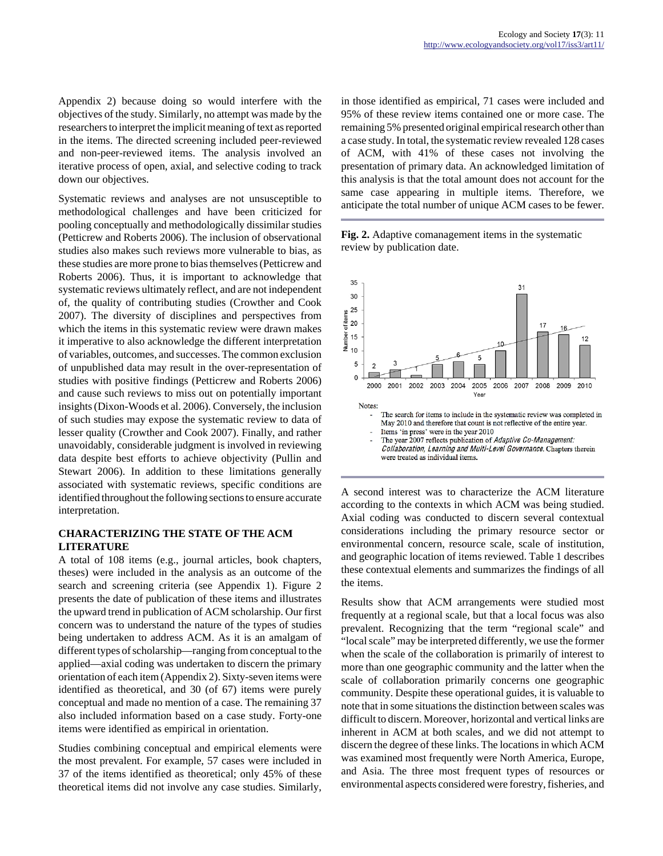Appendix 2) because doing so would interfere with the objectives of the study. Similarly, no attempt was made by the researchers to interpret the implicit meaning of text as reported in the items. The directed screening included peer-reviewed and non-peer-reviewed items. The analysis involved an iterative process of open, axial, and selective coding to track down our objectives.

Systematic reviews and analyses are not unsusceptible to methodological challenges and have been criticized for pooling conceptually and methodologically dissimilar studies (Petticrew and Roberts 2006). The inclusion of observational studies also makes such reviews more vulnerable to bias, as these studies are more prone to bias themselves (Petticrew and Roberts 2006). Thus, it is important to acknowledge that systematic reviews ultimately reflect, and are not independent of, the quality of contributing studies (Crowther and Cook 2007). The diversity of disciplines and perspectives from which the items in this systematic review were drawn makes it imperative to also acknowledge the different interpretation of variables, outcomes, and successes. The common exclusion of unpublished data may result in the over-representation of studies with positive findings (Petticrew and Roberts 2006) and cause such reviews to miss out on potentially important insights (Dixon-Woods et al. 2006). Conversely, the inclusion of such studies may expose the systematic review to data of lesser quality (Crowther and Cook 2007). Finally, and rather unavoidably, considerable judgment is involved in reviewing data despite best efforts to achieve objectivity (Pullin and Stewart 2006). In addition to these limitations generally associated with systematic reviews, specific conditions are identified throughout the following sections to ensure accurate interpretation.

### **CHARACTERIZING THE STATE OF THE ACM LITERATURE**

A total of 108 items (e.g., journal articles, book chapters, theses) were included in the analysis as an outcome of the search and screening criteria (see Appendix 1). Figure 2 presents the date of publication of these items and illustrates the upward trend in publication of ACM scholarship. Our first concern was to understand the nature of the types of studies being undertaken to address ACM. As it is an amalgam of different types of scholarship—ranging from conceptual to the applied—axial coding was undertaken to discern the primary orientation of each item (Appendix 2). Sixty-seven items were identified as theoretical, and 30 (of 67) items were purely conceptual and made no mention of a case. The remaining 37 also included information based on a case study. Forty-one items were identified as empirical in orientation.

Studies combining conceptual and empirical elements were the most prevalent. For example, 57 cases were included in 37 of the items identified as theoretical; only 45% of these theoretical items did not involve any case studies. Similarly, in those identified as empirical, 71 cases were included and 95% of these review items contained one or more case. The remaining 5% presented original empirical research other than a case study. In total, the systematic review revealed 128 cases of ACM, with 41% of these cases not involving the presentation of primary data. An acknowledged limitation of this analysis is that the total amount does not account for the same case appearing in multiple items. Therefore, we anticipate the total number of unique ACM cases to be fewer.

**Fig. 2.** Adaptive comanagement items in the systematic review by publication date.



A second interest was to characterize the ACM literature according to the contexts in which ACM was being studied. Axial coding was conducted to discern several contextual considerations including the primary resource sector or environmental concern, resource scale, scale of institution, and geographic location of items reviewed. Table 1 describes these contextual elements and summarizes the findings of all the items.

Results show that ACM arrangements were studied most frequently at a regional scale, but that a local focus was also prevalent. Recognizing that the term "regional scale" and "local scale" may be interpreted differently, we use the former when the scale of the collaboration is primarily of interest to more than one geographic community and the latter when the scale of collaboration primarily concerns one geographic community. Despite these operational guides, it is valuable to note that in some situations the distinction between scales was difficult to discern. Moreover, horizontal and vertical links are inherent in ACM at both scales, and we did not attempt to discern the degree of these links. The locations in which ACM was examined most frequently were North America, Europe, and Asia. The three most frequent types of resources or environmental aspects considered were forestry, fisheries, and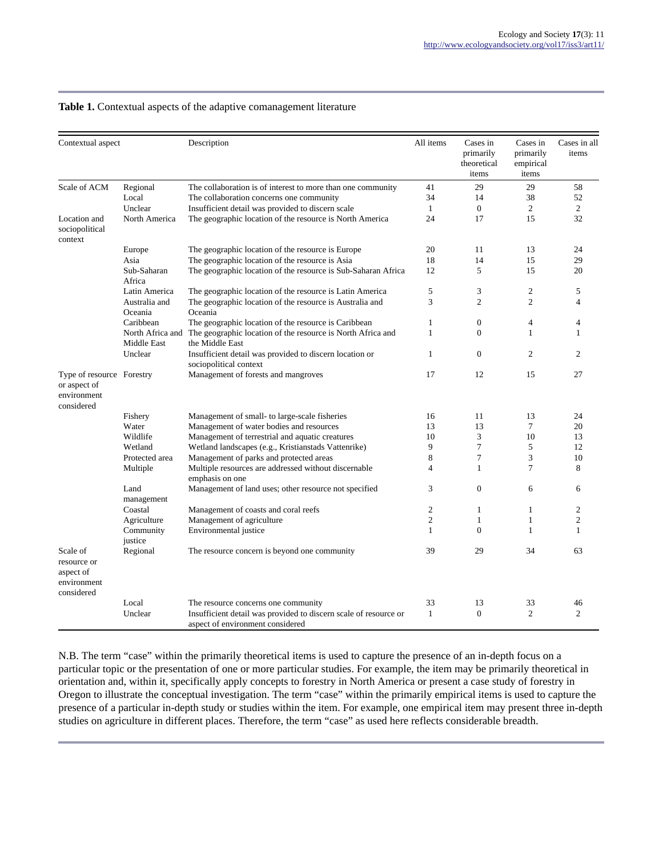| Contextual aspect                                                      |                          | Description                                                                                          |                | Cases in<br>primarily<br>theoretical<br>items | Cases in<br>primarily<br>empirical<br>items | Cases in all<br>items |
|------------------------------------------------------------------------|--------------------------|------------------------------------------------------------------------------------------------------|----------------|-----------------------------------------------|---------------------------------------------|-----------------------|
| Scale of ACM                                                           | Regional                 | The collaboration is of interest to more than one community                                          | 41             | 29                                            | 29                                          | 58                    |
|                                                                        | Local                    | The collaboration concerns one community                                                             | 34             | 14                                            | 38                                          | 52                    |
|                                                                        | Unclear                  | Insufficient detail was provided to discern scale                                                    | $\mathbf{1}$   | $\overline{0}$                                | $\overline{2}$                              | $\overline{2}$        |
| Location and<br>sociopolitical<br>context                              | North America            | The geographic location of the resource is North America                                             | 24             | 17                                            | 15                                          | 32                    |
|                                                                        | Europe                   | The geographic location of the resource is Europe                                                    | 20             | 11                                            | 13                                          | 24                    |
|                                                                        | Asia                     | The geographic location of the resource is Asia                                                      | 18             | 14                                            | 15                                          | 29                    |
|                                                                        | Sub-Saharan<br>Africa    | The geographic location of the resource is Sub-Saharan Africa                                        | 12             | 5                                             | 15                                          | 20                    |
|                                                                        | Latin America            | The geographic location of the resource is Latin America                                             | 5              | 3                                             | $\mathfrak{2}$                              | 5                     |
|                                                                        | Australia and<br>Oceania | The geographic location of the resource is Australia and<br>Oceania                                  | 3              | $\overline{c}$                                | $\overline{c}$                              | $\overline{4}$        |
|                                                                        | Caribbean                | The geographic location of the resource is Caribbean                                                 | $\mathbf{1}$   | $\overline{0}$                                | $\overline{4}$                              | $\overline{4}$        |
|                                                                        | Middle East              | North Africa and The geographic location of the resource is North Africa and<br>the Middle East      | $\mathbf{1}$   | $\Omega$                                      | $\mathbf{1}$                                | 1                     |
|                                                                        | Unclear                  | Insufficient detail was provided to discern location or<br>sociopolitical context                    | $\mathbf{1}$   | $\Omega$                                      | $\overline{2}$                              | 2                     |
| Type of resource Forestry<br>or aspect of<br>environment<br>considered |                          | Management of forests and mangroves                                                                  | 17             | 12                                            | 15                                          | 27                    |
|                                                                        | Fishery                  | Management of small- to large-scale fisheries                                                        | 16             | 11                                            | 13                                          | 24                    |
|                                                                        | Water                    | Management of water bodies and resources                                                             | 13             | 13                                            | $\tau$                                      | 20                    |
|                                                                        | Wildlife                 | Management of terrestrial and aquatic creatures                                                      | 10             | 3                                             | 10                                          | 13                    |
|                                                                        | Wetland                  | Wetland landscapes (e.g., Kristianstads Vattenrike)                                                  | 9              | 7                                             | 5                                           | 12                    |
|                                                                        | Protected area           | Management of parks and protected areas                                                              | 8              | 7                                             | 3                                           | 10                    |
|                                                                        | Multiple                 | Multiple resources are addressed without discernable<br>emphasis on one                              | $\overline{4}$ | $\mathbf{1}$                                  | $\tau$                                      | 8                     |
|                                                                        | Land<br>management       | Management of land uses; other resource not specified                                                | 3              | $\overline{0}$                                | 6                                           | 6                     |
|                                                                        | Coastal                  | Management of coasts and coral reefs                                                                 | $\overline{c}$ | 1                                             | $\mathbf{1}$                                | $\overline{c}$        |
|                                                                        | Agriculture              | Management of agriculture                                                                            | $\overline{c}$ | 1                                             | 1                                           | $\overline{c}$        |
|                                                                        | Community<br>justice     | Environmental justice                                                                                | $\mathbf{1}$   | $\mathbf{0}$                                  | $\mathbf{1}$                                | $\mathbf{1}$          |
| Scale of<br>resource or<br>aspect of<br>environment<br>considered      | Regional                 | The resource concern is beyond one community                                                         | 39             | 29                                            | 34                                          | 63                    |
|                                                                        | Local                    | The resource concerns one community                                                                  | 33             | 13                                            | 33                                          | 46                    |
|                                                                        | Unclear                  | Insufficient detail was provided to discern scale of resource or<br>aspect of environment considered | $\mathbf{1}$   | $\mathbf{0}$                                  | $\overline{c}$                              | $\overline{c}$        |

### **Table 1.** Contextual aspects of the adaptive comanagement literature

N.B. The term "case" within the primarily theoretical items is used to capture the presence of an in-depth focus on a particular topic or the presentation of one or more particular studies. For example, the item may be primarily theoretical in orientation and, within it, specifically apply concepts to forestry in North America or present a case study of forestry in Oregon to illustrate the conceptual investigation. The term "case" within the primarily empirical items is used to capture the presence of a particular in-depth study or studies within the item. For example, one empirical item may present three in-depth studies on agriculture in different places. Therefore, the term "case" as used here reflects considerable breadth.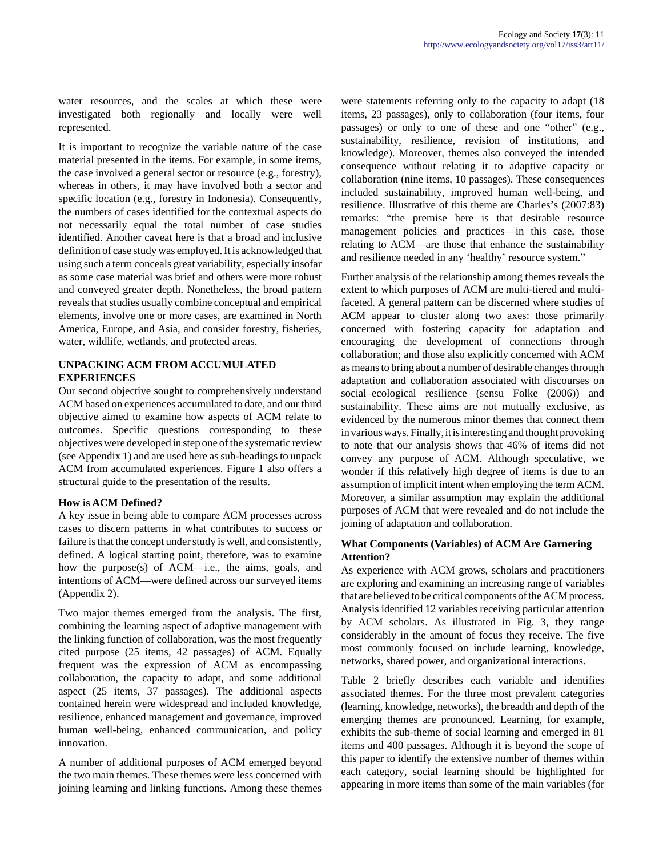water resources, and the scales at which these were investigated both regionally and locally were well represented.

It is important to recognize the variable nature of the case material presented in the items. For example, in some items, the case involved a general sector or resource (e.g., forestry), whereas in others, it may have involved both a sector and specific location (e.g., forestry in Indonesia). Consequently, the numbers of cases identified for the contextual aspects do not necessarily equal the total number of case studies identified. Another caveat here is that a broad and inclusive definition of case study was employed. It is acknowledged that using such a term conceals great variability, especially insofar as some case material was brief and others were more robust and conveyed greater depth. Nonetheless, the broad pattern reveals that studies usually combine conceptual and empirical elements, involve one or more cases, are examined in North America, Europe, and Asia, and consider forestry, fisheries, water, wildlife, wetlands, and protected areas.

### **UNPACKING ACM FROM ACCUMULATED EXPERIENCES**

Our second objective sought to comprehensively understand ACM based on experiences accumulated to date, and our third objective aimed to examine how aspects of ACM relate to outcomes. Specific questions corresponding to these objectives were developed in step one of the systematic review (see Appendix 1) and are used here as sub-headings to unpack ACM from accumulated experiences. Figure 1 also offers a structural guide to the presentation of the results.

## **How is ACM Defined?**

A key issue in being able to compare ACM processes across cases to discern patterns in what contributes to success or failure is that the concept under study is well, and consistently, defined. A logical starting point, therefore, was to examine how the purpose(s) of ACM—i.e., the aims, goals, and intentions of ACM—were defined across our surveyed items (Appendix 2).

Two major themes emerged from the analysis. The first, combining the learning aspect of adaptive management with the linking function of collaboration, was the most frequently cited purpose (25 items, 42 passages) of ACM. Equally frequent was the expression of ACM as encompassing collaboration, the capacity to adapt, and some additional aspect (25 items, 37 passages). The additional aspects contained herein were widespread and included knowledge, resilience, enhanced management and governance, improved human well-being, enhanced communication, and policy innovation.

A number of additional purposes of ACM emerged beyond the two main themes. These themes were less concerned with joining learning and linking functions. Among these themes were statements referring only to the capacity to adapt (18 items, 23 passages), only to collaboration (four items, four passages) or only to one of these and one "other" (e.g., sustainability, resilience, revision of institutions, and knowledge). Moreover, themes also conveyed the intended consequence without relating it to adaptive capacity or collaboration (nine items, 10 passages). These consequences included sustainability, improved human well-being, and resilience. Illustrative of this theme are Charles's (2007:83) remarks: "the premise here is that desirable resource management policies and practices—in this case, those relating to ACM—are those that enhance the sustainability and resilience needed in any 'healthy' resource system."

Further analysis of the relationship among themes reveals the extent to which purposes of ACM are multi-tiered and multifaceted. A general pattern can be discerned where studies of ACM appear to cluster along two axes: those primarily concerned with fostering capacity for adaptation and encouraging the development of connections through collaboration; and those also explicitly concerned with ACM as means to bring about a number of desirable changes through adaptation and collaboration associated with discourses on social–ecological resilience (sensu Folke (2006)) and sustainability. These aims are not mutually exclusive, as evidenced by the numerous minor themes that connect them in various ways. Finally, it is interesting and thought provoking to note that our analysis shows that 46% of items did not convey any purpose of ACM. Although speculative, we wonder if this relatively high degree of items is due to an assumption of implicit intent when employing the term ACM. Moreover, a similar assumption may explain the additional purposes of ACM that were revealed and do not include the joining of adaptation and collaboration.

## **What Components (Variables) of ACM Are Garnering Attention?**

As experience with ACM grows, scholars and practitioners are exploring and examining an increasing range of variables that are believed to be critical components of the ACM process. Analysis identified 12 variables receiving particular attention by ACM scholars. As illustrated in Fig. 3, they range considerably in the amount of focus they receive. The five most commonly focused on include learning, knowledge, networks, shared power, and organizational interactions.

Table 2 briefly describes each variable and identifies associated themes. For the three most prevalent categories (learning, knowledge, networks), the breadth and depth of the emerging themes are pronounced. Learning, for example, exhibits the sub-theme of social learning and emerged in 81 items and 400 passages. Although it is beyond the scope of this paper to identify the extensive number of themes within each category, social learning should be highlighted for appearing in more items than some of the main variables (for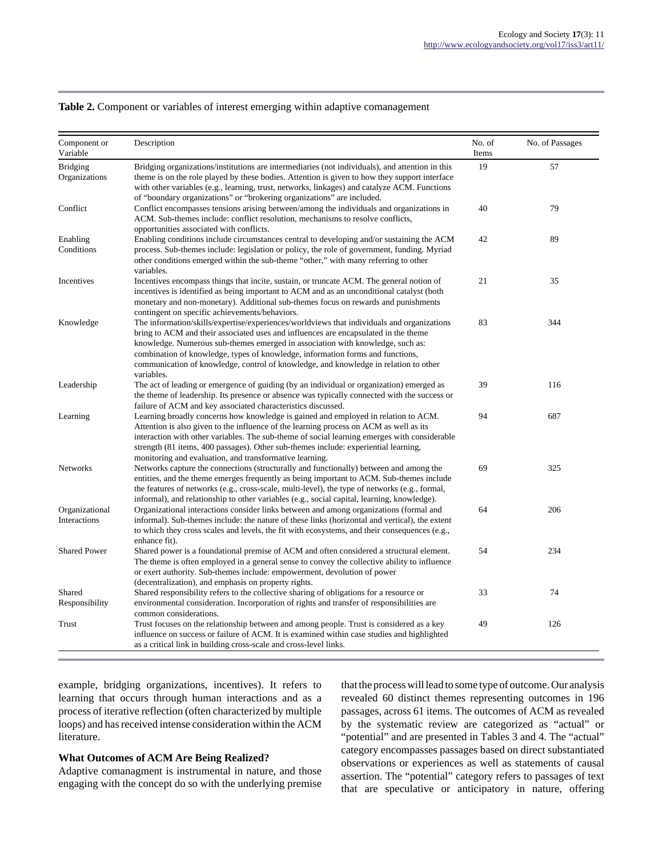#### **Table 2.** Component or variables of interest emerging within adaptive comanagement

| Component or<br>Variable         | Description                                                                                                                                                                                                                                                                                                                                                                                                                                                 | No. of<br>Items | No. of Passages |
|----------------------------------|-------------------------------------------------------------------------------------------------------------------------------------------------------------------------------------------------------------------------------------------------------------------------------------------------------------------------------------------------------------------------------------------------------------------------------------------------------------|-----------------|-----------------|
| <b>Bridging</b><br>Organizations | Bridging organizations/institutions are intermediaries (not individuals), and attention in this<br>theme is on the role played by these bodies. Attention is given to how they support interface<br>with other variables (e.g., learning, trust, networks, linkages) and catalyze ACM. Functions<br>of "boundary organizations" or "brokering organizations" are included.                                                                                  | 19              | 57              |
| Conflict                         | Conflict encompasses tensions arising between/among the individuals and organizations in<br>ACM. Sub-themes include: conflict resolution, mechanisms to resolve conflicts,<br>opportunities associated with conflicts.                                                                                                                                                                                                                                      | 40              | 79              |
| Enabling<br>Conditions           | Enabling conditions include circumstances central to developing and/or sustaining the ACM<br>process. Sub-themes include: legislation or policy, the role of government, funding. Myriad<br>other conditions emerged within the sub-theme "other," with many referring to other<br>variables.                                                                                                                                                               | 42              | 89              |
| Incentives                       | Incentives encompass things that incite, sustain, or truncate ACM. The general notion of<br>incentives is identified as being important to ACM and as an unconditional catalyst (both<br>monetary and non-monetary). Additional sub-themes focus on rewards and punishments<br>contingent on specific achievements/behaviors.                                                                                                                               | 21              | 35              |
| Knowledge                        | The information/skills/expertise/experiences/worldviews that individuals and organizations<br>bring to ACM and their associated uses and influences are encapsulated in the theme<br>knowledge. Numerous sub-themes emerged in association with knowledge, such as:<br>combination of knowledge, types of knowledge, information forms and functions,<br>communication of knowledge, control of knowledge, and knowledge in relation to other<br>variables. | 83              | 344             |
| Leadership                       | The act of leading or emergence of guiding (by an individual or organization) emerged as<br>the theme of leadership. Its presence or absence was typically connected with the success or<br>failure of ACM and key associated characteristics discussed.                                                                                                                                                                                                    | 39              | 116             |
| Learning                         | Learning broadly concerns how knowledge is gained and employed in relation to ACM.<br>Attention is also given to the influence of the learning process on ACM as well as its<br>interaction with other variables. The sub-theme of social learning emerges with considerable<br>strength (81 items, 400 passages). Other sub-themes include: experiential learning,<br>monitoring and evaluation, and transformative learning.                              | 94              | 687             |
| <b>Networks</b>                  | Networks capture the connections (structurally and functionally) between and among the<br>entities, and the theme emerges frequently as being important to ACM. Sub-themes include<br>the features of networks (e.g., cross-scale, multi-level), the type of networks (e.g., formal,<br>informal), and relationship to other variables (e.g., social capital, learning, knowledge).                                                                         | 69              | 325             |
| Organizational<br>Interactions   | Organizational interactions consider links between and among organizations (formal and<br>informal). Sub-themes include: the nature of these links (horizontal and vertical), the extent<br>to which they cross scales and levels, the fit with ecosystems, and their consequences (e.g.,<br>enhance fit).                                                                                                                                                  | 64              | 206             |
| <b>Shared Power</b>              | Shared power is a foundational premise of ACM and often considered a structural element.<br>The theme is often employed in a general sense to convey the collective ability to influence<br>or exert authority. Sub-themes include: empowerment, devolution of power<br>(decentralization), and emphasis on property rights.                                                                                                                                | 54              | 234             |
| Shared<br>Responsibility         | Shared responsibility refers to the collective sharing of obligations for a resource or<br>environmental consideration. Incorporation of rights and transfer of responsibilities are<br>common considerations.                                                                                                                                                                                                                                              | 33              | 74              |
| Trust                            | Trust focuses on the relationship between and among people. Trust is considered as a key<br>influence on success or failure of ACM. It is examined within case studies and highlighted<br>as a critical link in building cross-scale and cross-level links.                                                                                                                                                                                                 | 49              | 126             |

example, bridging organizations, incentives). It refers to learning that occurs through human interactions and as a process of iterative reflection (often characterized by multiple loops) and has received intense consideration within the ACM literature.

#### **What Outcomes of ACM Are Being Realized?**

Adaptive comanagment is instrumental in nature, and those engaging with the concept do so with the underlying premise that the process will lead to some type of outcome. Our analysis revealed 60 distinct themes representing outcomes in 196 passages, across 61 items. The outcomes of ACM as revealed by the systematic review are categorized as "actual" or "potential" and are presented in Tables 3 and 4. The "actual" category encompasses passages based on direct substantiated observations or experiences as well as statements of causal assertion. The "potential" category refers to passages of text that are speculative or anticipatory in nature, offering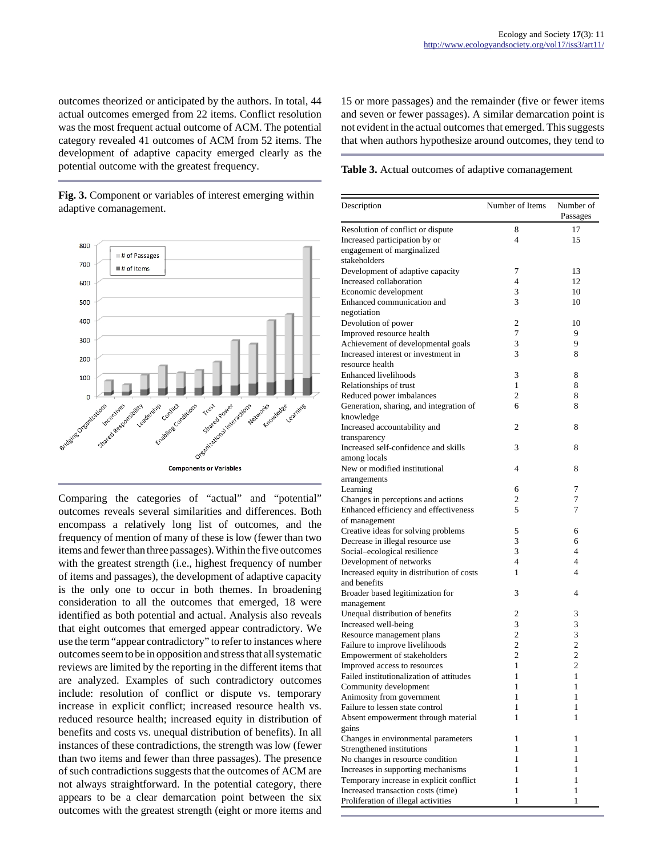outcomes theorized or anticipated by the authors. In total, 44 actual outcomes emerged from 22 items. Conflict resolution was the most frequent actual outcome of ACM. The potential category revealed 41 outcomes of ACM from 52 items. The development of adaptive capacity emerged clearly as the potential outcome with the greatest frequency.

**Fig. 3.** Component or variables of interest emerging within adaptive comanagement.



Comparing the categories of "actual" and "potential" outcomes reveals several similarities and differences. Both encompass a relatively long list of outcomes, and the frequency of mention of many of these is low (fewer than two items and fewer than three passages). Within the five outcomes with the greatest strength (i.e., highest frequency of number of items and passages), the development of adaptive capacity is the only one to occur in both themes. In broadening consideration to all the outcomes that emerged, 18 were identified as both potential and actual. Analysis also reveals that eight outcomes that emerged appear contradictory. We use the term "appear contradictory" to refer to instances where outcomes seem to be in opposition and stress that all systematic reviews are limited by the reporting in the different items that are analyzed. Examples of such contradictory outcomes include: resolution of conflict or dispute vs. temporary increase in explicit conflict; increased resource health vs. reduced resource health; increased equity in distribution of benefits and costs vs. unequal distribution of benefits). In all instances of these contradictions, the strength was low (fewer than two items and fewer than three passages). The presence of such contradictions suggests that the outcomes of ACM are not always straightforward. In the potential category, there appears to be a clear demarcation point between the six outcomes with the greatest strength (eight or more items and 15 or more passages) and the remainder (five or fewer items and seven or fewer passages). A similar demarcation point is not evident in the actual outcomes that emerged. This suggests that when authors hypothesize around outcomes, they tend to

**Table 3.** Actual outcomes of adaptive comanagement

| Description                                                               | Number of Items | Number of<br>Passages |
|---------------------------------------------------------------------------|-----------------|-----------------------|
| Resolution of conflict or dispute                                         | 8               | 17                    |
| Increased participation by or                                             | $\overline{4}$  | 15                    |
| engagement of marginalized                                                |                 |                       |
| stakeholders                                                              |                 |                       |
| Development of adaptive capacity                                          | 7               | 13                    |
| Increased collaboration                                                   | $\overline{4}$  | 12                    |
| Economic development                                                      | 3               | 10                    |
| Enhanced communication and                                                | 3               | 10                    |
| negotiation                                                               |                 |                       |
| Devolution of power                                                       | 2               | 10                    |
| Improved resource health                                                  | 7               | 9                     |
| Achievement of developmental goals                                        | 3               | 9                     |
| Increased interest or investment in                                       | 3               | 8                     |
| resource health                                                           |                 |                       |
| <b>Enhanced livelihoods</b>                                               | 3               | 8                     |
| Relationships of trust                                                    | 1               | 8                     |
| Reduced power imbalances                                                  | 2               | 8                     |
| Generation, sharing, and integration of                                   | 6               | 8                     |
| knowledge                                                                 |                 |                       |
| Increased accountability and                                              | 2               | 8                     |
| transparency                                                              |                 |                       |
| Increased self-confidence and skills                                      | 3               | 8                     |
| among locals                                                              |                 |                       |
| New or modified institutional                                             | 4               | 8                     |
| arrangements                                                              |                 |                       |
| Learning                                                                  | 6               | 7                     |
| Changes in perceptions and actions                                        | 2               | 7                     |
| Enhanced efficiency and effectiveness                                     | 5               | 7                     |
| of management                                                             |                 |                       |
| Creative ideas for solving problems                                       | 5               | 6                     |
| Decrease in illegal resource use                                          | 3               | 6                     |
| Social-ecological resilience                                              | 3               | 4                     |
| Development of networks                                                   | $\overline{4}$  | 4                     |
| Increased equity in distribution of costs                                 | 1               | $\overline{4}$        |
| and benefits                                                              |                 |                       |
| Broader based legitimization for                                          | 3               | 4                     |
| management                                                                |                 |                       |
| Unequal distribution of benefits                                          | 2               | 3                     |
| Increased well-being                                                      | 3               | 3                     |
| Resource management plans                                                 | $\overline{2}$  | 3                     |
| Failure to improve livelihoods                                            | $\overline{c}$  | 2                     |
| Empowerment of stakeholders                                               | $\overline{2}$  | $\overline{2}$        |
| Improved access to resources                                              | 1               | $\overline{2}$        |
| Failed institutionalization of attitudes                                  | 1               | 1                     |
| Community development                                                     | 1               | 1                     |
| Animosity from government                                                 | 1               | 1                     |
| Failure to lessen state control                                           | 1               | 1                     |
| Absent empowerment through material                                       | 1               | 1                     |
| gains                                                                     |                 |                       |
|                                                                           | 1               | 1                     |
| Changes in environmental parameters                                       | 1               | 1                     |
| Strengthened institutions                                                 | 1               | 1                     |
| No changes in resource condition                                          |                 |                       |
| Increases in supporting mechanisms                                        | 1               | 1                     |
| Temporary increase in explicit conflict                                   | 1               | 1                     |
| Increased transaction costs (time)<br>Proliferation of illegal activities | 1               | 1<br>1                |
|                                                                           | 1               |                       |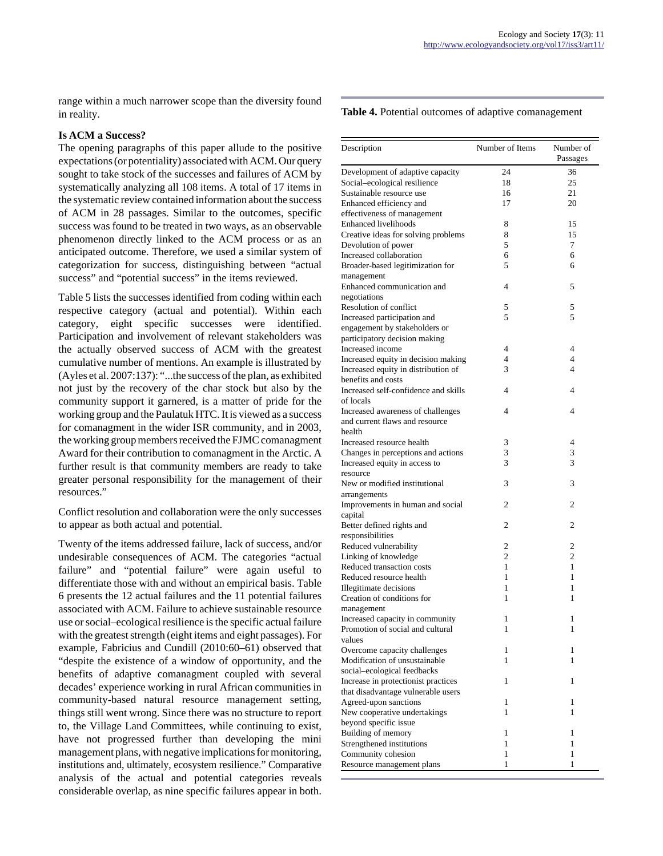range within a much narrower scope than the diversity found in reality.

### **Is ACM a Success?**

The opening paragraphs of this paper allude to the positive expectations (or potentiality) associated with ACM. Our query sought to take stock of the successes and failures of ACM by systematically analyzing all 108 items. A total of 17 items in the systematic review contained information about the success of ACM in 28 passages. Similar to the outcomes, specific success was found to be treated in two ways, as an observable phenomenon directly linked to the ACM process or as an anticipated outcome. Therefore, we used a similar system of categorization for success, distinguishing between "actual success" and "potential success" in the items reviewed.

Table 5 lists the successes identified from coding within each respective category (actual and potential). Within each category, eight specific successes were identified. Participation and involvement of relevant stakeholders was the actually observed success of ACM with the greatest cumulative number of mentions. An example is illustrated by (Ayles et al. 2007:137): "...the success of the plan, as exhibited not just by the recovery of the char stock but also by the community support it garnered, is a matter of pride for the working group and the Paulatuk HTC. It is viewed as a success for comanagment in the wider ISR community, and in 2003, the working group members received the FJMC comanagment Award for their contribution to comanagment in the Arctic. A further result is that community members are ready to take greater personal responsibility for the management of their resources."

Conflict resolution and collaboration were the only successes to appear as both actual and potential.

Twenty of the items addressed failure, lack of success, and/or undesirable consequences of ACM. The categories "actual failure" and "potential failure" were again useful to differentiate those with and without an empirical basis. Table 6 presents the 12 actual failures and the 11 potential failures associated with ACM. Failure to achieve sustainable resource use or social–ecological resilience is the specific actual failure with the greatest strength (eight items and eight passages). For example, Fabricius and Cundill (2010:60–61) observed that "despite the existence of a window of opportunity, and the benefits of adaptive comanagment coupled with several decades' experience working in rural African communities in community-based natural resource management setting, things still went wrong. Since there was no structure to report to, the Village Land Committees, while continuing to exist, have not progressed further than developing the mini management plans, with negative implications for monitoring, institutions and, ultimately, ecosystem resilience." Comparative analysis of the actual and potential categories reveals considerable overlap, as nine specific failures appear in both.

#### **Table 4.** Potential outcomes of adaptive comanagement

| Description                                                         | Number of Items | Number of<br>Passages |
|---------------------------------------------------------------------|-----------------|-----------------------|
| Development of adaptive capacity                                    | 24              | 36                    |
| Social-ecological resilience                                        | 18              | 25                    |
| Sustainable resource use                                            | 16              | 21                    |
| Enhanced efficiency and                                             | 17              | 20                    |
| effectiveness of management                                         |                 |                       |
| <b>Enhanced livelihoods</b>                                         | 8               | 15                    |
| Creative ideas for solving problems                                 | 8               | 15                    |
|                                                                     | 5               | 7                     |
| Devolution of power<br>Increased collaboration                      | 6               | 6                     |
| Broader-based legitimization for                                    | 5               | 6                     |
|                                                                     |                 |                       |
| management<br>Enhanced communication and                            | 4               | 5                     |
|                                                                     |                 |                       |
| negotiations                                                        |                 |                       |
| Resolution of conflict                                              | 5               | 5                     |
| Increased participation and                                         | 5               | 5                     |
| engagement by stakeholders or                                       |                 |                       |
| participatory decision making                                       |                 |                       |
| Increased income                                                    | $\overline{4}$  | 4                     |
| Increased equity in decision making                                 | $\overline{4}$  | 4                     |
| Increased equity in distribution of                                 | 3               | 4                     |
| benefits and costs                                                  |                 |                       |
| Increased self-confidence and skills                                | 4               | 4                     |
| of locals                                                           |                 |                       |
| Increased awareness of challenges                                   | 4               | 4                     |
| and current flaws and resource                                      |                 |                       |
| health                                                              |                 |                       |
| Increased resource health                                           | 3               | 4                     |
| Changes in perceptions and actions                                  | 3               | 3                     |
| Increased equity in access to                                       | 3               | 3                     |
| resource                                                            |                 |                       |
| New or modified institutional                                       | 3               | 3                     |
| arrangements                                                        |                 |                       |
| Improvements in human and social                                    | 2               | 2                     |
| capital                                                             |                 |                       |
| Better defined rights and                                           | 2               | 2                     |
| responsibilities                                                    |                 |                       |
| Reduced vulnerability                                               | 2               | 2                     |
| Linking of knowledge                                                | 2               | $\overline{c}$        |
| Reduced transaction costs                                           | 1               | 1                     |
| Reduced resource health                                             | 1               | 1                     |
|                                                                     | 1               | 1                     |
| Illegitimate decisions<br>Creation of conditions for                | 1               | 1                     |
|                                                                     |                 |                       |
| management                                                          |                 |                       |
| Increased capacity in community<br>Promotion of social and cultural | 1               | 1                     |
|                                                                     | 1               | 1                     |
| values                                                              |                 |                       |
| Overcome capacity challenges                                        | 1               | 1                     |
| Modification of unsustainable                                       | 1               | 1                     |
| social-ecological feedbacks                                         |                 |                       |
| Increase in protectionist practices                                 | 1               | 1                     |
| that disadvantage vulnerable users                                  |                 |                       |
| Agreed-upon sanctions                                               | 1               | 1                     |
| New cooperative undertakings                                        | 1               | 1                     |
| beyond specific issue                                               |                 |                       |
| Building of memory                                                  | 1               | 1                     |
| Strengthened institutions                                           | 1               | 1                     |
| Community cohesion                                                  | 1               | 1                     |
| Resource management plans                                           | 1               | 1                     |
|                                                                     |                 |                       |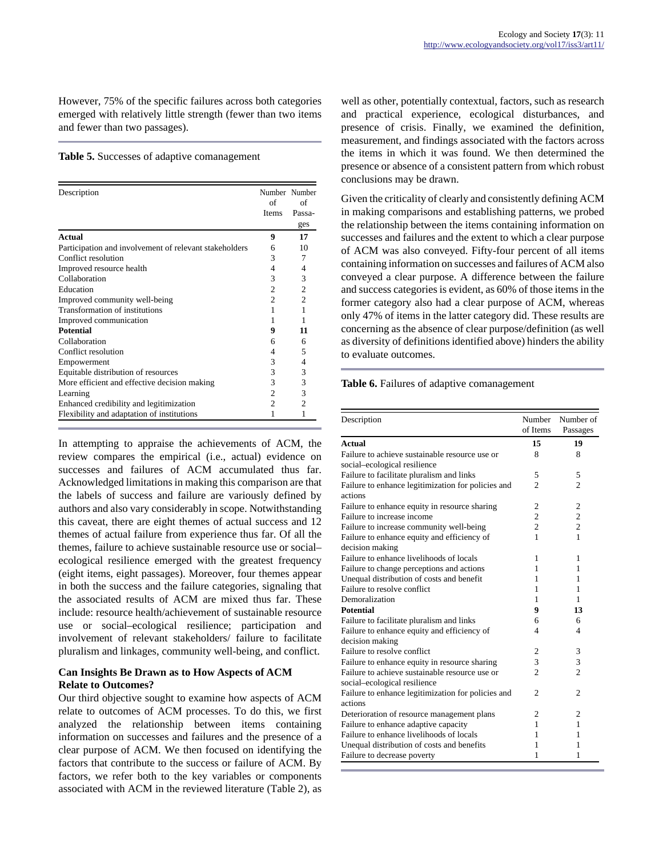However, 75% of the specific failures across both categories emerged with relatively little strength (fewer than two items and fewer than two passages).

#### **Table 5.** Successes of adaptive comanagement

| Description                                            | Number Number<br>of<br><b>Items</b> | of<br>Passa-<br>ges |
|--------------------------------------------------------|-------------------------------------|---------------------|
| Actual                                                 | 9                                   | 17                  |
| Participation and involvement of relevant stakeholders | 6                                   | 10                  |
| Conflict resolution                                    | 3                                   | 7                   |
| Improved resource health                               | 4                                   | 4                   |
| Collaboration                                          | 3                                   | 3                   |
| Education                                              | 2                                   | $\overline{c}$      |
| Improved community well-being                          | $\mathfrak{D}$                      | $\overline{c}$      |
| Transformation of institutions                         |                                     | 1                   |
| Improved communication                                 |                                     | 1                   |
| <b>Potential</b>                                       | 9                                   | 11                  |
| Collaboration                                          | 6                                   | 6                   |
| Conflict resolution                                    | 4                                   | 5                   |
| Empowerment                                            | 3                                   | 4                   |
| Equitable distribution of resources                    | 3                                   | 3                   |
| More efficient and effective decision making           | 3                                   | 3                   |
| Learning                                               | $\overline{c}$                      | 3                   |
| Enhanced credibility and legitimization                | $\overline{c}$                      | $\overline{c}$      |
| Flexibility and adaptation of institutions             | 1                                   | 1                   |

In attempting to appraise the achievements of ACM, the review compares the empirical (i.e., actual) evidence on successes and failures of ACM accumulated thus far. Acknowledged limitations in making this comparison are that the labels of success and failure are variously defined by authors and also vary considerably in scope. Notwithstanding this caveat, there are eight themes of actual success and 12 themes of actual failure from experience thus far. Of all the themes, failure to achieve sustainable resource use or social– ecological resilience emerged with the greatest frequency (eight items, eight passages). Moreover, four themes appear in both the success and the failure categories, signaling that the associated results of ACM are mixed thus far. These include: resource health/achievement of sustainable resource use or social–ecological resilience; participation and involvement of relevant stakeholders/ failure to facilitate pluralism and linkages, community well-being, and conflict.

### **Can Insights Be Drawn as to How Aspects of ACM Relate to Outcomes?**

Our third objective sought to examine how aspects of ACM relate to outcomes of ACM processes. To do this, we first analyzed the relationship between items containing information on successes and failures and the presence of a clear purpose of ACM. We then focused on identifying the factors that contribute to the success or failure of ACM. By factors, we refer both to the key variables or components associated with ACM in the reviewed literature (Table 2), as well as other, potentially contextual, factors, such as research and practical experience, ecological disturbances, and presence of crisis. Finally, we examined the definition, measurement, and findings associated with the factors across the items in which it was found. We then determined the presence or absence of a consistent pattern from which robust conclusions may be drawn.

Given the criticality of clearly and consistently defining ACM in making comparisons and establishing patterns, we probed the relationship between the items containing information on successes and failures and the extent to which a clear purpose of ACM was also conveyed. Fifty-four percent of all items containing information on successes and failures of ACM also conveyed a clear purpose. A difference between the failure and success categories is evident, as 60% of those items in the former category also had a clear purpose of ACM, whereas only 47% of items in the latter category did. These results are concerning as the absence of clear purpose/definition (as well as diversity of definitions identified above) hinders the ability to evaluate outcomes.

#### **Table 6.** Failures of adaptive comanagement

| Description                                                                    | Number         | Number of      |
|--------------------------------------------------------------------------------|----------------|----------------|
|                                                                                | of Items       | Passages       |
| <b>Actual</b>                                                                  | 15             | 19             |
| Failure to achieve sustainable resource use or                                 | 8              | 8              |
| social-ecological resilience                                                   |                |                |
| Failure to facilitate pluralism and links                                      | 5              | 5              |
| Failure to enhance legitimization for policies and<br>actions                  | $\overline{2}$ | $\overline{c}$ |
| Failure to enhance equity in resource sharing                                  | 2              | $\overline{2}$ |
| Failure to increase income                                                     | $\overline{c}$ | $\overline{c}$ |
| Failure to increase community well-being                                       | $\overline{c}$ | $\overline{c}$ |
| Failure to enhance equity and efficiency of                                    | 1              | 1              |
| decision making                                                                |                |                |
| Failure to enhance livelihoods of locals                                       | 1              | 1              |
| Failure to change perceptions and actions                                      | 1              | 1              |
| Unequal distribution of costs and benefit                                      | 1              | 1              |
| Failure to resolve conflict                                                    | 1              | 1              |
| Demoralization                                                                 | 1              | 1              |
| <b>Potential</b>                                                               | 9              | 13             |
| Failure to facilitate pluralism and links                                      | 6              | 6              |
| Failure to enhance equity and efficiency of                                    | 4              | 4              |
| decision making                                                                |                |                |
| Failure to resolve conflict                                                    | 2              | 3              |
| Failure to enhance equity in resource sharing                                  | 3              | 3              |
| Failure to achieve sustainable resource use or<br>social-ecological resilience | $\overline{c}$ | $\overline{c}$ |
| Failure to enhance legitimization for policies and<br>actions                  | $\overline{c}$ | $\overline{c}$ |
| Deterioration of resource management plans                                     | $\overline{c}$ | $\overline{c}$ |
| Failure to enhance adaptive capacity                                           | 1              | 1              |
| Failure to enhance livelihoods of locals                                       | 1              | 1              |
| Unequal distribution of costs and benefits                                     | 1              | 1              |
| Failure to decrease poverty                                                    | 1              | 1              |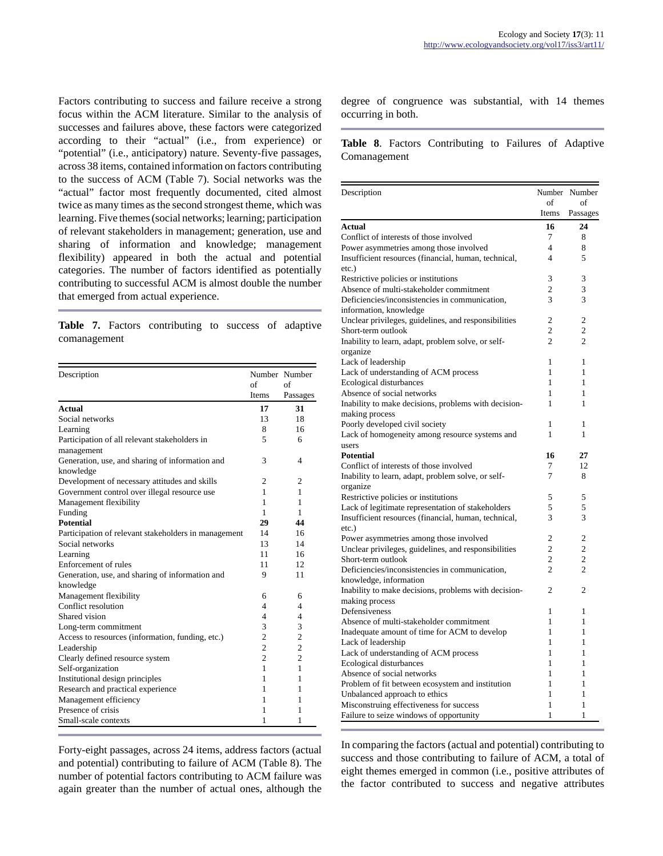Factors contributing to success and failure receive a strong focus within the ACM literature. Similar to the analysis of successes and failures above, these factors were categorized according to their "actual" (i.e., from experience) or "potential" (i.e., anticipatory) nature. Seventy-five passages, across 38 items, contained information on factors contributing to the success of ACM (Table 7). Social networks was the "actual" factor most frequently documented, cited almost twice as many times as the second strongest theme, which was learning. Five themes (social networks; learning; participation of relevant stakeholders in management; generation, use and sharing of information and knowledge; management flexibility) appeared in both the actual and potential categories. The number of factors identified as potentially contributing to successful ACM is almost double the number that emerged from actual experience.

**Table 7.** Factors contributing to success of adaptive comanagement

| Description                                                  |                | Number Number  |
|--------------------------------------------------------------|----------------|----------------|
|                                                              | of             | of             |
|                                                              | <b>Items</b>   | Passages       |
| <b>Actual</b>                                                | 17             | 31             |
| Social networks                                              | 13             | 18             |
| Learning                                                     | 8              | 16             |
| Participation of all relevant stakeholders in<br>management  | 5              | 6              |
| Generation, use, and sharing of information and<br>knowledge | 3              | 4              |
| Development of necessary attitudes and skills                | $\overline{c}$ | $\overline{c}$ |
| Government control over illegal resource use                 | 1              | 1              |
| Management flexibility                                       | 1              | 1              |
| Funding                                                      | 1              | 1              |
| <b>Potential</b>                                             | 29             | 44             |
| Participation of relevant stakeholders in management         | 14             | 16             |
| Social networks                                              | 13             | 14             |
| Learning                                                     | 11             | 16             |
| Enforcement of rules                                         | 11             | 12             |
| Generation, use, and sharing of information and              | 9              | 11             |
| knowledge                                                    |                |                |
| Management flexibility                                       | 6              | 6              |
| Conflict resolution                                          | $\overline{4}$ | 4              |
| Shared vision                                                | 4              | $\overline{4}$ |
| Long-term commitment                                         | 3              | 3              |
| Access to resources (information, funding, etc.)             | $\overline{2}$ | $\overline{c}$ |
| Leadership                                                   | $\overline{c}$ | $\frac{2}{2}$  |
| Clearly defined resource system                              | $\overline{2}$ |                |
| Self-organization                                            | $\mathbf{1}$   | $\mathbf{1}$   |
| Institutional design principles                              | 1              | 1              |
| Research and practical experience                            | 1              | 1              |
| Management efficiency                                        | 1              | 1              |
| Presence of crisis                                           | 1              | 1              |
| Small-scale contexts                                         | 1              | 1              |

Forty-eight passages, across 24 items, address factors (actual and potential) contributing to failure of ACM (Table 8). The number of potential factors contributing to ACM failure was again greater than the number of actual ones, although the degree of congruence was substantial, with 14 themes occurring in both.

**Table 8**. Factors Contributing to Failures of Adaptive Comanagement

| Description                                          | Number         | Number         |
|------------------------------------------------------|----------------|----------------|
|                                                      | of<br>Items    | of<br>Passages |
| Actual                                               | 16             | 24             |
| Conflict of interests of those involved              | 7              | 8              |
| Power asymmetries among those involved               | $\overline{4}$ | 8              |
| Insufficient resources (financial, human, technical, | 4              | 5              |
| $etc.$ )                                             |                |                |
| Restrictive policies or institutions                 | 3              | 3              |
| Absence of multi-stakeholder commitment              | $\overline{c}$ | 3              |
| Deficiencies/inconsistencies in communication.       | 3              | 3              |
| information, knowledge                               |                |                |
| Unclear privileges, guidelines, and responsibilities | 2              | $\overline{c}$ |
| Short-term outlook                                   | $\overline{c}$ | $\overline{2}$ |
| Inability to learn, adapt, problem solve, or self-   | $\overline{c}$ | $\overline{c}$ |
| organize                                             |                |                |
| Lack of leadership                                   | 1              | 1              |
| Lack of understanding of ACM process                 | $\mathbf{1}$   | $\mathbf{1}$   |
| Ecological disturbances                              | 1              | 1              |
| Absence of social networks                           | 1              | 1              |
| Inability to make decisions, problems with decision- | 1              | 1              |
| making process                                       |                |                |
| Poorly developed civil society                       | 1              | 1              |
| Lack of homogeneity among resource systems and       | $\mathbf{1}$   | 1              |
| users                                                |                |                |
| <b>Potential</b>                                     | 16             | 27             |
| Conflict of interests of those involved              | 7              | 12             |
| Inability to learn, adapt, problem solve, or self-   | 7              | 8              |
| organize                                             |                |                |
| Restrictive policies or institutions                 | 5              | 5              |
| Lack of legitimate representation of stakeholders    | 5              | 5              |
| Insufficient resources (financial, human, technical, | 3              | 3              |
| etc.)                                                |                |                |
| Power asymmetries among those involved               | 2              | 2              |
| Unclear privileges, guidelines, and responsibilities | $\overline{2}$ | $\overline{c}$ |
| Short-term outlook                                   | $\overline{c}$ | $\overline{c}$ |
| Deficiencies/inconsistencies in communication,       | $\overline{2}$ | $\overline{c}$ |
| knowledge, information                               |                |                |
| Inability to make decisions, problems with decision- | $\overline{c}$ | $\overline{c}$ |
| making process                                       |                |                |
| Defensiveness                                        | 1              | 1              |
| Absence of multi-stakeholder commitment              | 1              | 1              |
| Inadequate amount of time for ACM to develop         | 1              | 1              |
| Lack of leadership                                   | 1              | 1              |
| Lack of understanding of ACM process                 | 1              | 1              |
| Ecological disturbances                              | 1              | 1              |
| Absence of social networks                           | $\mathbf{1}$   | 1              |
| Problem of fit between ecosystem and institution     | 1              | 1              |
| Unbalanced approach to ethics                        | 1              | $\mathbf{1}$   |
| Misconstruing effectiveness for success              | 1              | 1              |
| Failure to seize windows of opportunity              | 1              | $\mathbf{1}$   |

In comparing the factors (actual and potential) contributing to success and those contributing to failure of ACM, a total of eight themes emerged in common (i.e., positive attributes of the factor contributed to success and negative attributes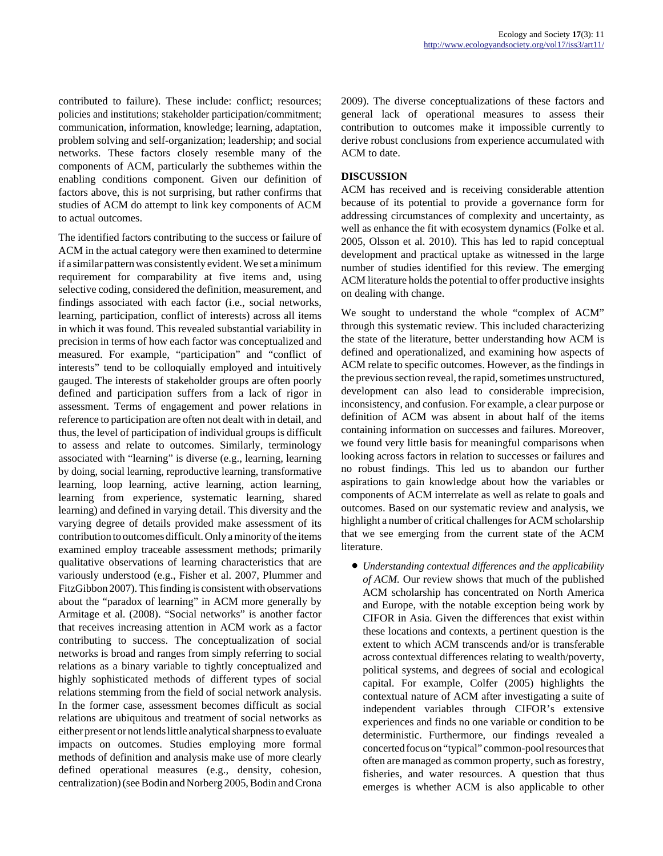contributed to failure). These include: conflict; resources; policies and institutions; stakeholder participation/commitment; communication, information, knowledge; learning, adaptation, problem solving and self-organization; leadership; and social networks. These factors closely resemble many of the components of ACM, particularly the subthemes within the enabling conditions component. Given our definition of factors above, this is not surprising, but rather confirms that studies of ACM do attempt to link key components of ACM to actual outcomes.

The identified factors contributing to the success or failure of ACM in the actual category were then examined to determine if a similar pattern was consistently evident. We set a minimum requirement for comparability at five items and, using selective coding, considered the definition, measurement, and findings associated with each factor (i.e., social networks, learning, participation, conflict of interests) across all items in which it was found. This revealed substantial variability in precision in terms of how each factor was conceptualized and measured. For example, "participation" and "conflict of interests" tend to be colloquially employed and intuitively gauged. The interests of stakeholder groups are often poorly defined and participation suffers from a lack of rigor in assessment. Terms of engagement and power relations in reference to participation are often not dealt with in detail, and thus, the level of participation of individual groups is difficult to assess and relate to outcomes. Similarly, terminology associated with "learning" is diverse (e.g., learning, learning by doing, social learning, reproductive learning, transformative learning, loop learning, active learning, action learning, learning from experience, systematic learning, shared learning) and defined in varying detail. This diversity and the varying degree of details provided make assessment of its contribution to outcomes difficult. Only a minority of the items examined employ traceable assessment methods; primarily qualitative observations of learning characteristics that are variously understood (e.g., Fisher et al. 2007, Plummer and FitzGibbon 2007). This finding is consistent with observations about the "paradox of learning" in ACM more generally by Armitage et al. (2008). "Social networks" is another factor that receives increasing attention in ACM work as a factor contributing to success. The conceptualization of social networks is broad and ranges from simply referring to social relations as a binary variable to tightly conceptualized and highly sophisticated methods of different types of social relations stemming from the field of social network analysis. In the former case, assessment becomes difficult as social relations are ubiquitous and treatment of social networks as either present or not lends little analytical sharpness to evaluate impacts on outcomes. Studies employing more formal methods of definition and analysis make use of more clearly defined operational measures (e.g., density, cohesion, centralization) (see Bodin and Norberg 2005, Bodin and Crona 2009). The diverse conceptualizations of these factors and general lack of operational measures to assess their contribution to outcomes make it impossible currently to derive robust conclusions from experience accumulated with ACM to date.

### **DISCUSSION**

ACM has received and is receiving considerable attention because of its potential to provide a governance form for addressing circumstances of complexity and uncertainty, as well as enhance the fit with ecosystem dynamics (Folke et al. 2005, Olsson et al. 2010). This has led to rapid conceptual development and practical uptake as witnessed in the large number of studies identified for this review. The emerging ACM literature holds the potential to offer productive insights on dealing with change.

We sought to understand the whole "complex of ACM" through this systematic review. This included characterizing the state of the literature, better understanding how ACM is defined and operationalized, and examining how aspects of ACM relate to specific outcomes. However, as the findings in the previous section reveal, the rapid, sometimes unstructured, development can also lead to considerable imprecision, inconsistency, and confusion. For example, a clear purpose or definition of ACM was absent in about half of the items containing information on successes and failures. Moreover, we found very little basis for meaningful comparisons when looking across factors in relation to successes or failures and no robust findings. This led us to abandon our further aspirations to gain knowledge about how the variables or components of ACM interrelate as well as relate to goals and outcomes. Based on our systematic review and analysis, we highlight a number of critical challenges for ACM scholarship that we see emerging from the current state of the ACM literature.

● *Understanding contextual differences and the applicability of ACM.* Our review shows that much of the published ACM scholarship has concentrated on North America and Europe, with the notable exception being work by CIFOR in Asia. Given the differences that exist within these locations and contexts, a pertinent question is the extent to which ACM transcends and/or is transferable across contextual differences relating to wealth/poverty, political systems, and degrees of social and ecological capital. For example, Colfer (2005) highlights the contextual nature of ACM after investigating a suite of independent variables through CIFOR's extensive experiences and finds no one variable or condition to be deterministic. Furthermore, our findings revealed a concerted focus on "typical" common-pool resources that often are managed as common property, such as forestry, fisheries, and water resources. A question that thus emerges is whether ACM is also applicable to other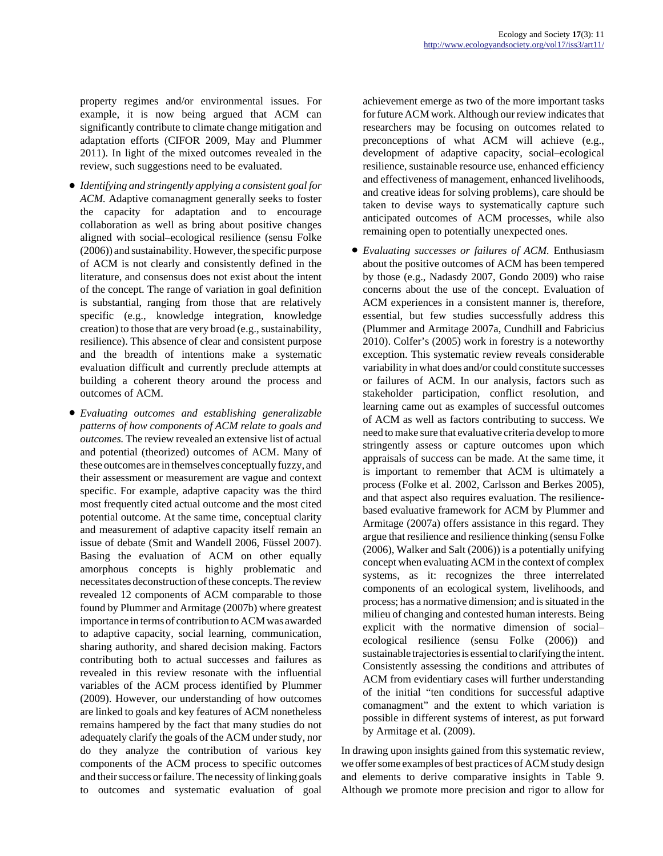property regimes and/or environmental issues. For example, it is now being argued that ACM can significantly contribute to climate change mitigation and adaptation efforts (CIFOR 2009, May and Plummer 2011). In light of the mixed outcomes revealed in the review, such suggestions need to be evaluated.

- *Identifying and stringently applying a consistent goal for ACM.* Adaptive comanagment generally seeks to foster the capacity for adaptation and to encourage collaboration as well as bring about positive changes aligned with social–ecological resilience (sensu Folke (2006)) and sustainability. However, the specific purpose of ACM is not clearly and consistently defined in the literature, and consensus does not exist about the intent of the concept. The range of variation in goal definition is substantial, ranging from those that are relatively specific (e.g., knowledge integration, knowledge creation) to those that are very broad (e.g., sustainability, resilience). This absence of clear and consistent purpose and the breadth of intentions make a systematic evaluation difficult and currently preclude attempts at building a coherent theory around the process and outcomes of ACM.
- *Evaluating outcomes and establishing generalizable patterns of how components of ACM relate to goals and outcomes.* The review revealed an extensive list of actual and potential (theorized) outcomes of ACM. Many of these outcomes are in themselves conceptually fuzzy, and their assessment or measurement are vague and context specific. For example, adaptive capacity was the third most frequently cited actual outcome and the most cited potential outcome. At the same time, conceptual clarity and measurement of adaptive capacity itself remain an issue of debate (Smit and Wandell 2006, Füssel 2007). Basing the evaluation of ACM on other equally amorphous concepts is highly problematic and necessitates deconstruction of these concepts. The review revealed 12 components of ACM comparable to those found by Plummer and Armitage (2007b) where greatest importance in terms of contribution to ACM was awarded to adaptive capacity, social learning, communication, sharing authority, and shared decision making. Factors contributing both to actual successes and failures as revealed in this review resonate with the influential variables of the ACM process identified by Plummer (2009). However, our understanding of how outcomes are linked to goals and key features of ACM nonetheless remains hampered by the fact that many studies do not adequately clarify the goals of the ACM under study, nor do they analyze the contribution of various key components of the ACM process to specific outcomes and their success or failure. The necessity of linking goals to outcomes and systematic evaluation of goal

achievement emerge as two of the more important tasks for future ACM work. Although our review indicates that researchers may be focusing on outcomes related to preconceptions of what ACM will achieve (e.g., development of adaptive capacity, social–ecological resilience, sustainable resource use, enhanced efficiency and effectiveness of management, enhanced livelihoods, and creative ideas for solving problems), care should be taken to devise ways to systematically capture such anticipated outcomes of ACM processes, while also remaining open to potentially unexpected ones.

● *Evaluating successes or failures of ACM.* Enthusiasm about the positive outcomes of ACM has been tempered by those (e.g., Nadasdy 2007, Gondo 2009) who raise concerns about the use of the concept. Evaluation of ACM experiences in a consistent manner is, therefore, essential, but few studies successfully address this (Plummer and Armitage 2007a, Cundhill and Fabricius 2010). Colfer's (2005) work in forestry is a noteworthy exception. This systematic review reveals considerable variability in what does and/or could constitute successes or failures of ACM. In our analysis, factors such as stakeholder participation, conflict resolution, and learning came out as examples of successful outcomes of ACM as well as factors contributing to success. We need to make sure that evaluative criteria develop to more stringently assess or capture outcomes upon which appraisals of success can be made. At the same time, it is important to remember that ACM is ultimately a process (Folke et al. 2002, Carlsson and Berkes 2005), and that aspect also requires evaluation. The resiliencebased evaluative framework for ACM by Plummer and Armitage (2007a) offers assistance in this regard. They argue that resilience and resilience thinking (sensu Folke (2006), Walker and Salt (2006)) is a potentially unifying concept when evaluating ACM in the context of complex systems, as it: recognizes the three interrelated components of an ecological system, livelihoods, and process; has a normative dimension; and is situated in the milieu of changing and contested human interests. Being explicit with the normative dimension of social– ecological resilience (sensu Folke (2006)) and sustainable trajectories is essential to clarifying the intent. Consistently assessing the conditions and attributes of ACM from evidentiary cases will further understanding of the initial "ten conditions for successful adaptive comanagment" and the extent to which variation is possible in different systems of interest, as put forward by Armitage et al. (2009).

In drawing upon insights gained from this systematic review, we offer some examples of best practices of ACM study design and elements to derive comparative insights in Table 9. Although we promote more precision and rigor to allow for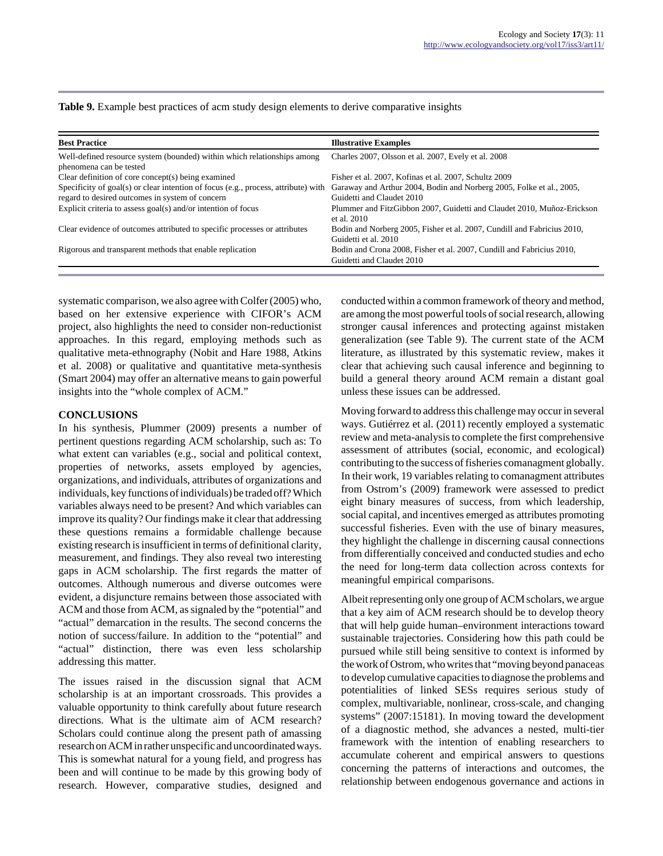|  |  | Table 9. Example best practices of acm study design elements to derive comparative insights |  |  |  |
|--|--|---------------------------------------------------------------------------------------------|--|--|--|
|--|--|---------------------------------------------------------------------------------------------|--|--|--|

| <b>Best Practice</b>                                                                                                                                    | <b>Illustrative Examples</b>                                                                       |
|---------------------------------------------------------------------------------------------------------------------------------------------------------|----------------------------------------------------------------------------------------------------|
| Well-defined resource system (bounded) within which relationships among<br>phenomena can be tested                                                      | Charles 2007, Olsson et al. 2007, Evely et al. 2008                                                |
| Clear definition of core concept(s) being examined                                                                                                      | Fisher et al. 2007, Kofinas et al. 2007, Schultz 2009                                              |
| Specificity of goal(s) or clear intention of focus (e.g., process, attribute) with Garaway and Arthur 2004, Bodin and Norberg 2005, Folke et al., 2005, |                                                                                                    |
| regard to desired outcomes in system of concern                                                                                                         | Guidetti and Claudet 2010                                                                          |
| Explicit criteria to assess goal(s) and/or intention of focus                                                                                           | Plummer and FitzGibbon 2007, Guidetti and Claudet 2010, Muñoz-Erickson<br>et al. 2010              |
| Clear evidence of outcomes attributed to specific processes or attributes                                                                               | Bodin and Norberg 2005, Fisher et al. 2007, Cundill and Fabricius 2010,<br>Guidetti et al. 2010    |
| Rigorous and transparent methods that enable replication                                                                                                | Bodin and Crona 2008, Fisher et al. 2007, Cundill and Fabricius 2010,<br>Guidetti and Claudet 2010 |

systematic comparison, we also agree with Colfer (2005) who, based on her extensive experience with CIFOR's ACM project, also highlights the need to consider non-reductionist approaches. In this regard, employing methods such as qualitative meta-ethnography (Nobit and Hare 1988, Atkins et al. 2008) or qualitative and quantitative meta-synthesis (Smart 2004) may offer an alternative means to gain powerful insights into the "whole complex of ACM."

#### **CONCLUSIONS**

In his synthesis, Plummer (2009) presents a number of pertinent questions regarding ACM scholarship, such as: To what extent can variables (e.g., social and political context, properties of networks, assets employed by agencies, organizations, and individuals, attributes of organizations and individuals, key functions of individuals) be traded off? Which variables always need to be present? And which variables can improve its quality? Our findings make it clear that addressing these questions remains a formidable challenge because existing research is insufficient in terms of definitional clarity, measurement, and findings. They also reveal two interesting gaps in ACM scholarship. The first regards the matter of outcomes. Although numerous and diverse outcomes were evident, a disjuncture remains between those associated with ACM and those from ACM, as signaled by the "potential" and "actual" demarcation in the results. The second concerns the notion of success/failure. In addition to the "potential" and "actual" distinction, there was even less scholarship addressing this matter.

The issues raised in the discussion signal that ACM scholarship is at an important crossroads. This provides a valuable opportunity to think carefully about future research directions. What is the ultimate aim of ACM research? Scholars could continue along the present path of amassing research on ACM in rather unspecific and uncoordinated ways. This is somewhat natural for a young field, and progress has been and will continue to be made by this growing body of research. However, comparative studies, designed and

conducted within a common framework of theory and method, are among the most powerful tools of social research, allowing stronger causal inferences and protecting against mistaken generalization (see Table 9). The current state of the ACM literature, as illustrated by this systematic review, makes it clear that achieving such causal inference and beginning to build a general theory around ACM remain a distant goal unless these issues can be addressed.

Moving forward to address this challenge may occur in several ways. Gutiérrez et al. (2011) recently employed a systematic review and meta-analysis to complete the first comprehensive assessment of attributes (social, economic, and ecological) contributing to the success of fisheries comanagment globally. In their work, 19 variables relating to comanagment attributes from Ostrom's (2009) framework were assessed to predict eight binary measures of success, from which leadership, social capital, and incentives emerged as attributes promoting successful fisheries. Even with the use of binary measures, they highlight the challenge in discerning causal connections from differentially conceived and conducted studies and echo the need for long-term data collection across contexts for meaningful empirical comparisons.

Albeit representing only one group of ACM scholars, we argue that a key aim of ACM research should be to develop theory that will help guide human–environment interactions toward sustainable trajectories. Considering how this path could be pursued while still being sensitive to context is informed by the work of Ostrom, who writes that "moving beyond panaceas to develop cumulative capacities to diagnose the problems and potentialities of linked SESs requires serious study of complex, multivariable, nonlinear, cross-scale, and changing systems" (2007:15181). In moving toward the development of a diagnostic method, she advances a nested, multi-tier framework with the intention of enabling researchers to accumulate coherent and empirical answers to questions concerning the patterns of interactions and outcomes, the relationship between endogenous governance and actions in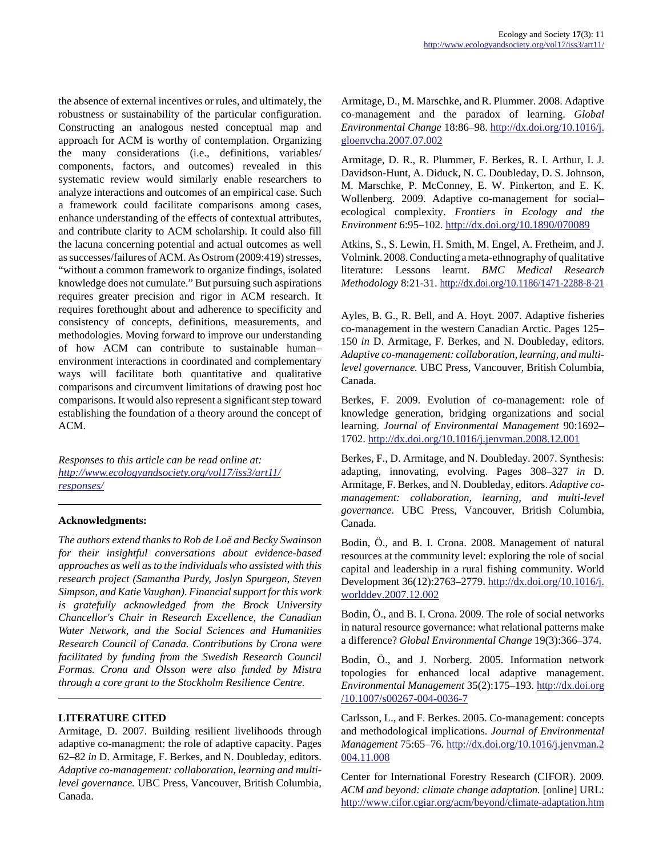the absence of external incentives or rules, and ultimately, the robustness or sustainability of the particular configuration. Constructing an analogous nested conceptual map and approach for ACM is worthy of contemplation. Organizing the many considerations (i.e., definitions, variables/ components, factors, and outcomes) revealed in this systematic review would similarly enable researchers to analyze interactions and outcomes of an empirical case. Such a framework could facilitate comparisons among cases, enhance understanding of the effects of contextual attributes, and contribute clarity to ACM scholarship. It could also fill the lacuna concerning potential and actual outcomes as well as successes/failures of ACM. As Ostrom (2009:419) stresses, "without a common framework to organize findings, isolated knowledge does not cumulate." But pursuing such aspirations requires greater precision and rigor in ACM research. It requires forethought about and adherence to specificity and consistency of concepts, definitions, measurements, and methodologies. Moving forward to improve our understanding of how ACM can contribute to sustainable human– environment interactions in coordinated and complementary ways will facilitate both quantitative and qualitative comparisons and circumvent limitations of drawing post hoc comparisons. It would also represent a significant step toward establishing the foundation of a theory around the concept of ACM.

*Responses to this article can be read online at: [http://www](http://www.ecologyandsociety.org/vol17/iss3/art11/responses/).ecologyandsociety.org/vol17/iss3/art11/ responses/*

## **Acknowledgments:**

*The authors extend thanks to Rob de Loë and Becky Swainson for their insightful conversations about evidence-based approaches as well as to the individuals who assisted with this research project (Samantha Purdy, Joslyn Spurgeon, Steven Simpson, and Katie Vaughan). Financial support for this work is gratefully acknowledged from the Brock University Chancellor's Chair in Research Excellence, the Canadian Water Network, and the Social Sciences and Humanities Research Council of Canada. Contributions by Crona were facilitated by funding from the Swedish Research Council Formas. Crona and Olsson were also funded by Mistra through a core grant to the Stockholm Resilience Centre.*

#### **LITERATURE CITED**

Armitage, D. 2007. Building resilient livelihoods through adaptive co-managment: the role of adaptive capacity. Pages 62–82 *in* D. Armitage, F. Berkes, and N. Doubleday, editors. *Adaptive co-management: collaboration, learning and multilevel governance.* UBC Press, Vancouver, British Columbia, Canada.

Armitage, D., M. Marschke, and R. Plummer. 2008. Adaptive co-management and the paradox of learning. *Global Environmental Change* 18:86–98. [http://dx.doi.org/10.1016/j.](http://dx.doi.org/10.1016/j.gloenvcha.2007.07.002) [gloenvcha.2007.07.002](http://dx.doi.org/10.1016/j.gloenvcha.2007.07.002)

Armitage, D. R., R. Plummer, F. Berkes, R. I. Arthur, I. J. Davidson-Hunt, A. Diduck, N. C. Doubleday, D. S. Johnson, M. Marschke, P. McConney, E. W. Pinkerton, and E. K. Wollenberg. 2009. Adaptive co-management for social– ecological complexity. *Frontiers in Ecology and the Environment* 6:95–102. <http://dx.doi.org/10.1890/070089>

Atkins, S., S. Lewin, H. Smith, M. Engel, A. Fretheim, and J. Volmink. 2008. Conducting a meta-ethnography of qualitative literature: Lessons learnt. *BMC Medical Research Methodology* 8:21-31.<http://dx.doi.org/10.1186/1471-2288-8-21>

Ayles, B. G., R. Bell, and A. Hoyt. 2007. Adaptive fisheries co-management in the western Canadian Arctic. Pages 125– 150 *in* D. Armitage, F. Berkes, and N. Doubleday, editors. *Adaptive co-management: collaboration, learning, and multilevel governance.* UBC Press, Vancouver, British Columbia, Canada.

Berkes, F. 2009. Evolution of co-management: role of knowledge generation, bridging organizations and social learning. *Journal of Environmental Management* 90:1692– 1702.<http://dx.doi.org/10.1016/j.jenvman.2008.12.001>

Berkes, F., D. Armitage, and N. Doubleday. 2007. Synthesis: adapting, innovating, evolving. Pages 308–327 *in* D. Armitage, F. Berkes, and N. Doubleday, editors. *Adaptive comanagement: collaboration, learning, and multi-level governance.* UBC Press, Vancouver, British Columbia, Canada.

Bodin, Ö., and B. I. Crona. 2008. Management of natural resources at the community level: exploring the role of social capital and leadership in a rural fishing community. World Development 36(12):2763–2779. [http://dx.doi.org/10.1016/j.](http://dx.doi.org/10.1016/j.worlddev.2007.12.002) [worlddev.2007.12.002](http://dx.doi.org/10.1016/j.worlddev.2007.12.002)

Bodin, Ö., and B. I. Crona. 2009. The role of social networks in natural resource governance: what relational patterns make a difference? *Global Environmental Change* 19(3):366–374.

Bodin, Ö., and J. Norberg. 2005. Information network topologies for enhanced local adaptive management. *Environmental Management* 35(2):175–193. [http://dx.doi.org](http://dx.doi.org/10.1007/s00267-004-0036-7) [/10.1007/s00267-004-0036-7](http://dx.doi.org/10.1007/s00267-004-0036-7)

Carlsson, L., and F. Berkes. 2005. Co-management: concepts and methodological implications. *Journal of Environmental Management* 75:65–76. [http://dx.doi.org/10.1016/j.jenvman.2](http://dx.doi.org/10.1016/j.jenvman.2004.11.008) [004.11.008](http://dx.doi.org/10.1016/j.jenvman.2004.11.008)

Center for International Forestry Research (CIFOR). 2009*. ACM and beyond: climate change adaptation.* [online] URL: <http://www.cifor.cgiar.org/acm/beyond/climate-adaptation.htm>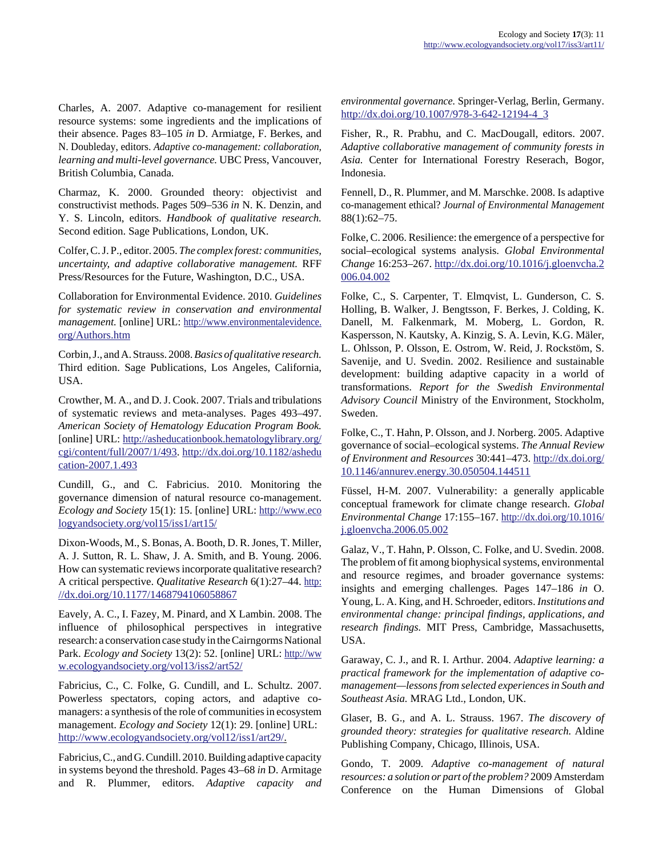Charles, A. 2007. Adaptive co-management for resilient resource systems: some ingredients and the implications of their absence. Pages 83–105 *in* D. Armiatge, F. Berkes, and N. Doubleday, editors. *Adaptive co-management: collaboration, learning and multi-level governance.* UBC Press, Vancouver, British Columbia, Canada.

Charmaz, K. 2000. Grounded theory: objectivist and constructivist methods. Pages 509–536 *in* N. K. Denzin, and Y. S. Lincoln, editors. *Handbook of qualitative research.* Second edition. Sage Publications, London, UK.

Colfer, C. J. P., editor. 2005. *The complex forest: communities, uncertainty, and adaptive collaborative management.* RFF Press/Resources for the Future, Washington, D.C., USA.

Collaboration for Environmental Evidence. 2010. *Guidelines for systematic review in conservation and environmental management.* [online] URL: [http://www.environmentalevidence.](http://www.environmentalevidence.org/Authors.htm) [org/Authors.htm](http://www.environmentalevidence.org/Authors.htm)

Corbin, J., and A. Strauss. 2008. *Basics of qualitative research.* Third edition. Sage Publications, Los Angeles, California, USA.

Crowther, M. A., and D. J. Cook. 2007. Trials and tribulations of systematic reviews and meta-analyses. Pages 493–497. *American Society of Hematology Education Program Book.* [online] URL: [http://asheducationbook.hematologylibrary.org/](http://asheducationbook.hematologylibrary.org/cgi/content/full/2007/1/493) [cgi/content/full/2007/1/493](http://asheducationbook.hematologylibrary.org/cgi/content/full/2007/1/493). [http://dx.doi.org/10.1182/ashedu](http://dx.doi.org/10.1182/asheducation-2007.1.493) [cation-2007.1.493](http://dx.doi.org/10.1182/asheducation-2007.1.493)

Cundill, G., and C. Fabricius. 2010. Monitoring the governance dimension of natural resource co-management. *Ecology and Society* 15(1): 15. [online] URL: [http://www.eco](http://www.ecologyandsociety.org/vol15/iss1/art15/) [logyandsociety.org/vol15/iss1/art15/](http://www.ecologyandsociety.org/vol15/iss1/art15/)

Dixon-Woods, M., S. Bonas, A. Booth, D. R. Jones, T. Miller, A. J. Sutton, R. L. Shaw, J. A. Smith, and B. Young. 2006. How can systematic reviews incorporate qualitative research? A critical perspective. *Qualitative Research* 6(1):27–44. [http:](http://dx.doi.org/10.1177/1468794106058867) [//dx.doi.org/10.1177/1468794106058867](http://dx.doi.org/10.1177/1468794106058867)

Eavely, A. C., I. Fazey, M. Pinard, and X Lambin. 2008. The influence of philosophical perspectives in integrative research: a conservation case study in the Cairngorms National Park. *Ecology and Society* 13(2): 52. [online] URL: [http://ww](http://www.ecologyandsociety.org/vol13/iss2/art52/) [w.ecologyandsociety.org/vol13/iss2/art52/](http://www.ecologyandsociety.org/vol13/iss2/art52/)

Fabricius, C., C. Folke, G. Cundill, and L. Schultz. 2007. Powerless spectators, coping actors, and adaptive comanagers: a synthesis of the role of communities in ecosystem management. *Ecology and Society* 12(1): 29. [online] URL: <http://www.ecologyandsociety.org/vol12/iss1/art29/>.

Fabricius, C., and G. Cundill. 2010. Building adaptive capacity in systems beyond the threshold. Pages 43–68 *in* D. Armitage and R. Plummer, editors. *Adaptive capacity and* *environmental governance.* Springer-Verlag, Berlin, Germany. [http://dx.doi.org/10.1007/978-3-642-12194-4\\_3](http://dx.doi.org/10.1007/978-3-642-12194-4_3)

Fisher, R., R. Prabhu, and C. MacDougall, editors. 2007. *Adaptive collaborative management of community forests in Asia.* Center for International Forestry Reserach, Bogor, Indonesia.

Fennell, D., R. Plummer, and M. Marschke. 2008. Is adaptive co-management ethical? *Journal of Environmental Management* 88(1):62–75.

Folke, C. 2006. Resilience: the emergence of a perspective for social–ecological systems analysis. *Global Environmental Change* 16:253–267. [http://dx.doi.org/10.1016/j.gloenvcha.2](http://dx.doi.org/10.1016/j.gloenvcha.2006.04.002) [006.04.002](http://dx.doi.org/10.1016/j.gloenvcha.2006.04.002)

Folke, C., S. Carpenter, T. Elmqvist, L. Gunderson, C. S. Holling, B. Walker, J. Bengtsson, F. Berkes, J. Colding, K. Danell, M. Falkenmark, M. Moberg, L. Gordon, R. Kaspersson, N. Kautsky, A. Kinzig, S. A. Levin, K.G. Mäler, L. Ohlsson, P. Olsson, E. Ostrom, W. Reid, J. Rockstöm, S. Savenije, and U. Svedin. 2002. Resilience and sustainable development: building adaptive capacity in a world of transformations. *Report for the Swedish Environmental Advisory Council* Ministry of the Environment, Stockholm, Sweden.

Folke, C., T. Hahn, P. Olsson, and J. Norberg. 2005. Adaptive governance of social–ecological systems. *The Annual Review of Environment and Resources* 30:441–473. [http://dx.doi.org/](http://dx.doi.org/10.1146/annurev.energy.30.050504.144511) [10.1146/annurev.energy.30.050504.144511](http://dx.doi.org/10.1146/annurev.energy.30.050504.144511)

Füssel, H-M. 2007. Vulnerability: a generally applicable conceptual framework for climate change research. *Global Environmental Change* 17:155–167. [http://dx.doi.org/10.1016/](http://dx.doi.org/10.1016/j.gloenvcha.2006.05.002) [j.gloenvcha.2006.05.002](http://dx.doi.org/10.1016/j.gloenvcha.2006.05.002)

Galaz, V., T. Hahn, P. Olsson, C. Folke, and U. Svedin. 2008. The problem of fit among biophysical systems, environmental and resource regimes, and broader governance systems: insights and emerging challenges. Pages 147–186 *in* O. Young, L. A. King, and H. Schroeder, editors. *Institutions and environmental change: principal findings, applications, and research findings.* MIT Press, Cambridge, Massachusetts, USA.

Garaway, C. J., and R. I. Arthur. 2004. *Adaptive learning: a practical framework for the implementation of adaptive comanagement—lessons from selected experiences in South and Southeast Asia.* MRAG Ltd., London, UK.

Glaser, B. G., and A. L. Strauss. 1967. *The discovery of grounded theory: strategies for qualitative research.* Aldine Publishing Company, Chicago, Illinois, USA.

Gondo, T. 2009. *Adaptive co-management of natural resources: a solution or part of the problem?* 2009 Amsterdam Conference on the Human Dimensions of Global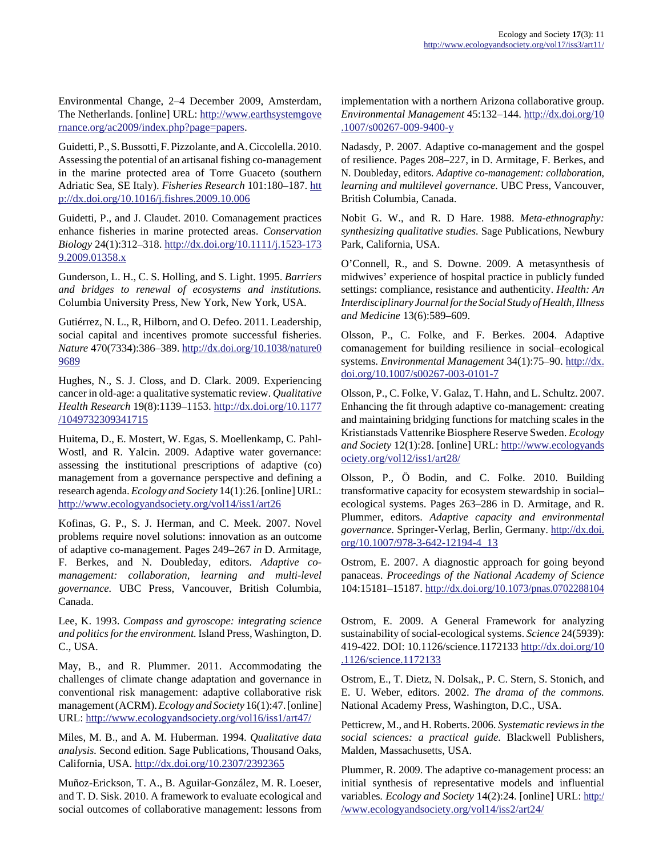Environmental Change, 2–4 December 2009, Amsterdam, The Netherlands. [online] URL: [http://www.earthsystemgove](http://www.earthsystemgovernance.org/ac2009/index.php?page=papers) [rnance.org/ac2009/index.php?page=papers.](http://www.earthsystemgovernance.org/ac2009/index.php?page=papers)

Guidetti, P., S. Bussotti, F. Pizzolante, and A. Ciccolella. 2010. Assessing the potential of an artisanal fishing co-management in the marine protected area of Torre Guaceto (southern Adriatic Sea, SE Italy). *Fisheries Research* 101:180–187. [htt](http://dx.doi.org/10.1016/j.fishres.2009.10.006) [p://dx.doi.org/10.1016/j.fishres.2009.10.006](http://dx.doi.org/10.1016/j.fishres.2009.10.006)

Guidetti, P., and J. Claudet. 2010. Comanagement practices enhance fisheries in marine protected areas. *Conservation Biology* 24(1):312–318. [http://dx.doi.org/10.1111/j.1523-173](http://dx.doi.org/10.1111/j.1523-1739.2009.01358.x) [9.2009.01358.x](http://dx.doi.org/10.1111/j.1523-1739.2009.01358.x)

Gunderson, L. H., C. S. Holling, and S. Light. 1995. *Barriers and bridges to renewal of ecosystems and institutions.* Columbia University Press, New York, New York, USA.

Gutiérrez, N. L., R, Hilborn, and O. Defeo. 2011. Leadership, social capital and incentives promote successful fisheries. *Nature* 470(7334):386–389. [http://dx.doi.org/10.1038/nature0](http://dx.doi.org/10.1038/nature09689) [9689](http://dx.doi.org/10.1038/nature09689)

Hughes, N., S. J. Closs, and D. Clark. 2009. Experiencing cancer in old-age: a qualitative systematic review. *Qualitative Health Research* 19(8):1139–1153. [http://dx.doi.org/10.1177](http://dx.doi.org/10.1177/1049732309341715) [/1049732309341715](http://dx.doi.org/10.1177/1049732309341715)

Huitema, D., E. Mostert, W. Egas, S. Moellenkamp, C. Pahl-Wostl, and R. Yalcin. 2009. Adaptive water governance: assessing the institutional prescriptions of adaptive (co) management from a governance perspective and defining a research agenda. *Ecology and Society* 14(1):26. [online] URL: <http://www.ecologyandsociety.org/vol14/iss1/art26>

Kofinas, G. P., S. J. Herman, and C. Meek. 2007. Novel problems require novel solutions: innovation as an outcome of adaptive co-management. Pages 249–267 *in* D. Armitage, F. Berkes, and N. Doubleday, editors. *Adaptive comanagement: collaboration, learning and multi-level governance.* UBC Press, Vancouver, British Columbia, Canada.

Lee, K. 1993. *Compass and gyroscope: integrating science and politics for the environment.* Island Press, Washington, D. C., USA.

May, B., and R. Plummer. 2011. Accommodating the challenges of climate change adaptation and governance in conventional risk management: adaptive collaborative risk management (ACRM). *Ecology and Society* 16(1):47. [online] URL:<http://www.ecologyandsociety.org/vol16/iss1/art47/>

Miles, M. B., and A. M. Huberman. 1994. *Qualitative data analysis.* Second edition. Sage Publications, Thousand Oaks, California, USA. <http://dx.doi.org/10.2307/2392365>

Muñoz-Erickson, T. A., B. Aguilar-González, M. R. Loeser, and T. D. Sisk. 2010. A framework to evaluate ecological and social outcomes of collaborative management: lessons from implementation with a northern Arizona collaborative group. *Environmental Management* 45:132–144. [http://dx.doi.org/10](http://dx.doi.org/10.1007/s00267-009-9400-y) [.1007/s00267-009-9400-y](http://dx.doi.org/10.1007/s00267-009-9400-y)

Nadasdy, P. 2007. Adaptive co-management and the gospel of resilience. Pages 208–227, in D. Armitage, F. Berkes, and N. Doubleday, editors. *Adaptive co-management: collaboration, learning and multilevel governance.* UBC Press, Vancouver, British Columbia, Canada.

Nobit G. W., and R. D Hare. 1988. *Meta-ethnography: synthesizing qualitative studies.* Sage Publications, Newbury Park, California, USA.

O'Connell, R., and S. Downe. 2009. A metasynthesis of midwives' experience of hospital practice in publicly funded settings: compliance, resistance and authenticity. *Health: An Interdisciplinary Journal for the Social Study of Health, Illness and Medicine* 13(6):589–609.

Olsson, P., C. Folke, and F. Berkes. 2004. Adaptive comanagement for building resilience in social–ecological systems. *Environmental Management* 34(1):75–90. [http://dx.](http://dx.doi.org/10.1007/s00267-003-0101-7) [doi.org/10.1007/s00267-003-0101-7](http://dx.doi.org/10.1007/s00267-003-0101-7)

Olsson, P., C. Folke, V. Galaz, T. Hahn, and L. Schultz. 2007. Enhancing the fit through adaptive co-management: creating and maintaining bridging functions for matching scales in the Kristianstads Vattenrike Biosphere Reserve Sweden. *Ecology and Society* 12(1):28. [online] URL: [http://www.ecologyands](http://www.ecologyandsociety.org/vol12/iss1/art28/) [ociety.org/vol12/iss1/art28/](http://www.ecologyandsociety.org/vol12/iss1/art28/)

Olsson, P., Ö Bodin, and C. Folke. 2010. Building transformative capacity for ecosystem stewardship in social– ecological systems. Pages 263–286 in D. Armitage, and R. Plummer, editors. *Adaptive capacity and environmental governance.* Springer-Verlag, Berlin, Germany. [http://dx.doi.](http://dx.doi.org/10.1007/978-3-642-12194-4_13) [org/10.1007/978-3-642-12194-4\\_13](http://dx.doi.org/10.1007/978-3-642-12194-4_13)

Ostrom, E. 2007. A diagnostic approach for going beyond panaceas. *Proceedings of the National Academy of Science* 104:15181–15187. <http://dx.doi.org/10.1073/pnas.0702288104>

Ostrom, E. 2009. A General Framework for analyzing sustainability of social-ecological systems. *Science* 24(5939): 419-422. DOI: 10.1126/science.1172133 [http://dx.doi.org/10](http://dx.doi.org/10.1126/science.1172133) [.1126/science.1172133](http://dx.doi.org/10.1126/science.1172133)

Ostrom, E., T. Dietz, N. Dolsak,, P. C. Stern, S. Stonich, and E. U. Weber, editors. 2002. *The drama of the commons.* National Academy Press, Washington, D.C., USA.

Petticrew, M., and H. Roberts. 2006. *Systematic reviews in the social sciences: a practical guide.* Blackwell Publishers, Malden, Massachusetts, USA.

Plummer, R. 2009. The adaptive co-management process: an initial synthesis of representative models and influential variables*. Ecology and Society* 14(2):24. [online] URL: [http:/](http://www.ecologyandsociety.org/vol14/iss2/art24/) [/www.ecologyandsociety.org/vol14/iss2/art24/](http://www.ecologyandsociety.org/vol14/iss2/art24/)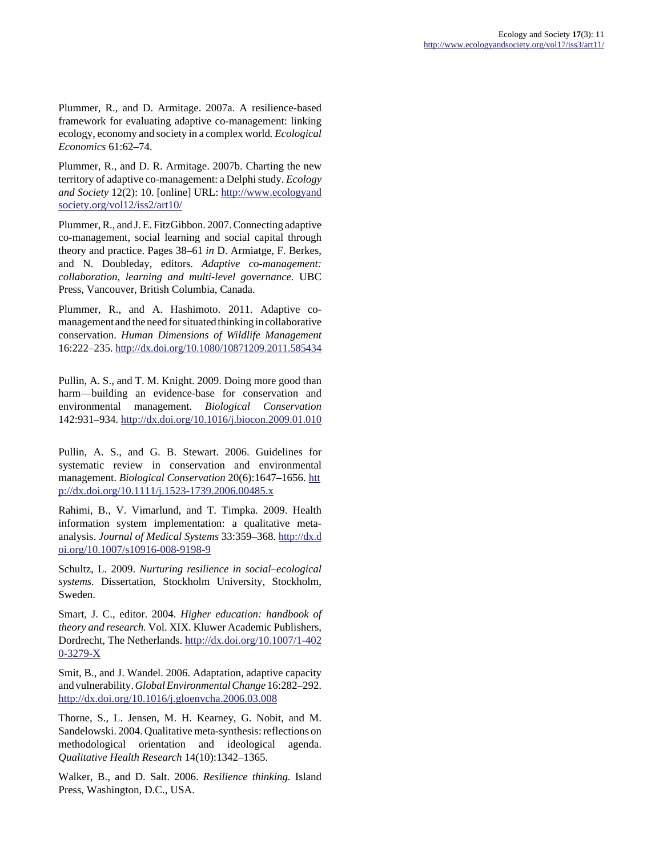Plummer, R., and D. Armitage. 2007a. A resilience-based framework for evaluating adaptive co-management: linking ecology, economy and society in a complex world*. Ecological Economics* 61:62–74.

Plummer, R., and D. R. Armitage. 2007b. Charting the new territory of adaptive co-management: a Delphi study. *Ecology and Society* 12(2): 10. [online] URL: [http://www.ecologyand](http://www.ecologyandsociety.org/vol12/iss2/art10/) [society.org/vol12/iss2/art10/](http://www.ecologyandsociety.org/vol12/iss2/art10/)

Plummer, R., and J. E. FitzGibbon. 2007. Connecting adaptive co-management, social learning and social capital through theory and practice. Pages 38–61 *in* D. Armiatge, F. Berkes, and N. Doubleday, editors. *Adaptive co-management: collaboration, learning and multi-level governance.* UBC Press, Vancouver, British Columbia, Canada.

Plummer, R., and A. Hashimoto. 2011. Adaptive comanagement and the need for situated thinking in collaborative conservation. *Human Dimensions of Wildlife Management* 16:222–235. <http://dx.doi.org/10.1080/10871209.2011.585434>

Pullin, A. S., and T. M. Knight. 2009. Doing more good than harm—building an evidence-base for conservation and environmental management. *Biological Conservation* 142:931–934. <http://dx.doi.org/10.1016/j.biocon.2009.01.010>

Pullin, A. S., and G. B. Stewart. 2006. Guidelines for systematic review in conservation and environmental management. *Biological Conservation* 20(6):1647–1656. [htt](http://dx.doi.org/10.1111/j.1523-1739.2006.00485.x) [p://dx.doi.org/10.1111/j.1523-1739.2006.00485.x](http://dx.doi.org/10.1111/j.1523-1739.2006.00485.x) 

Rahimi, B., V. Vimarlund, and T. Timpka. 2009. Health information system implementation: a qualitative metaanalysis. *Journal of Medical Systems* 33:359–368. [http://dx.d](http://dx.doi.org/10.1007/s10916-008-9198-9) [oi.org/10.1007/s10916-008-9198-9](http://dx.doi.org/10.1007/s10916-008-9198-9)

Schultz, L. 2009. *Nurturing resilience in social–ecological systems.* Dissertation, Stockholm University, Stockholm, Sweden.

Smart, J. C., editor. 2004. *Higher education: handbook of theory and research.* Vol. XIX. Kluwer Academic Publishers, Dordrecht, The Netherlands. [http://dx.doi.org/10.1007/1-402](http://dx.doi.org/10.1007/1-4020-3279-X) [0-3279-X](http://dx.doi.org/10.1007/1-4020-3279-X)

Smit, B., and J. Wandel. 2006. Adaptation, adaptive capacity and vulnerability. *Global Environmental Change* 16:282–292. <http://dx.doi.org/10.1016/j.gloenvcha.2006.03.008>

Thorne, S., L. Jensen, M. H. Kearney, G. Nobit, and M. Sandelowski. 2004. Qualitative meta-synthesis: reflections on methodological orientation and ideological agenda. *Qualitative Health Research* 14(10):1342–1365.

Walker, B., and D. Salt. 2006. *Resilience thinking.* Island Press, Washington, D.C., USA.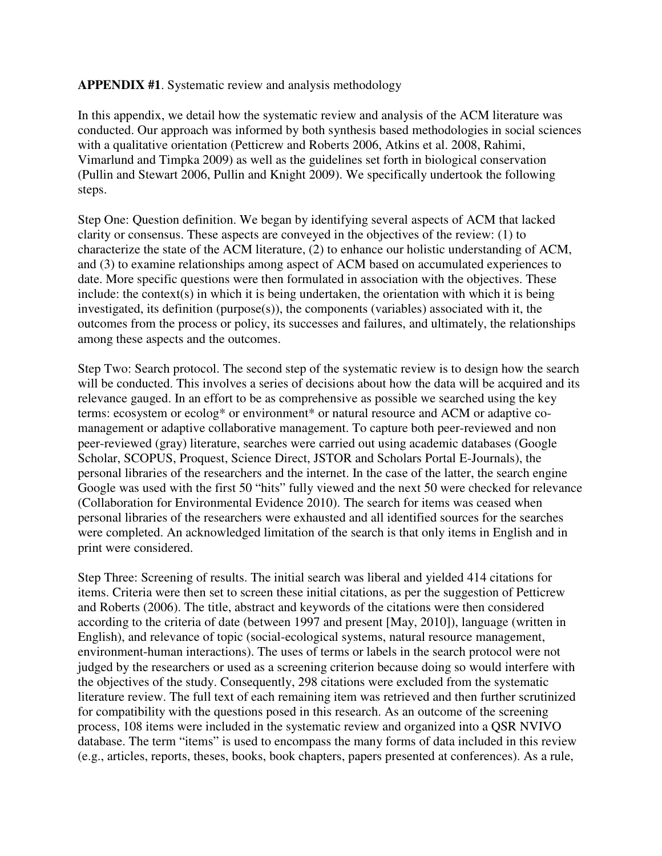## **APPENDIX #1**. Systematic review and analysis methodology

In this appendix, we detail how the systematic review and analysis of the ACM literature was conducted. Our approach was informed by both synthesis based methodologies in social sciences with a qualitative orientation (Petticrew and Roberts 2006, Atkins et al. 2008, Rahimi, Vimarlund and Timpka 2009) as well as the guidelines set forth in biological conservation (Pullin and Stewart 2006, Pullin and Knight 2009). We specifically undertook the following steps.

Step One: Question definition. We began by identifying several aspects of ACM that lacked clarity or consensus. These aspects are conveyed in the objectives of the review: (1) to characterize the state of the ACM literature, (2) to enhance our holistic understanding of ACM, and (3) to examine relationships among aspect of ACM based on accumulated experiences to date. More specific questions were then formulated in association with the objectives. These include: the context(s) in which it is being undertaken, the orientation with which it is being investigated, its definition (purpose(s)), the components (variables) associated with it, the outcomes from the process or policy, its successes and failures, and ultimately, the relationships among these aspects and the outcomes.

Step Two: Search protocol. The second step of the systematic review is to design how the search will be conducted. This involves a series of decisions about how the data will be acquired and its relevance gauged. In an effort to be as comprehensive as possible we searched using the key terms: ecosystem or ecolog\* or environment\* or natural resource and ACM or adaptive comanagement or adaptive collaborative management. To capture both peer-reviewed and non peer-reviewed (gray) literature, searches were carried out using academic databases (Google Scholar, SCOPUS, Proquest, Science Direct, JSTOR and Scholars Portal E-Journals), the personal libraries of the researchers and the internet. In the case of the latter, the search engine Google was used with the first 50 "hits" fully viewed and the next 50 were checked for relevance (Collaboration for Environmental Evidence 2010). The search for items was ceased when personal libraries of the researchers were exhausted and all identified sources for the searches were completed. An acknowledged limitation of the search is that only items in English and in print were considered.

Step Three: Screening of results. The initial search was liberal and yielded 414 citations for items. Criteria were then set to screen these initial citations, as per the suggestion of Petticrew and Roberts (2006). The title, abstract and keywords of the citations were then considered according to the criteria of date (between 1997 and present [May, 2010]), language (written in English), and relevance of topic (social-ecological systems, natural resource management, environment-human interactions). The uses of terms or labels in the search protocol were not judged by the researchers or used as a screening criterion because doing so would interfere with the objectives of the study. Consequently, 298 citations were excluded from the systematic literature review. The full text of each remaining item was retrieved and then further scrutinized for compatibility with the questions posed in this research. As an outcome of the screening process, 108 items were included in the systematic review and organized into a QSR NVIVO database. The term "items" is used to encompass the many forms of data included in this review (e.g., articles, reports, theses, books, book chapters, papers presented at conferences). As a rule,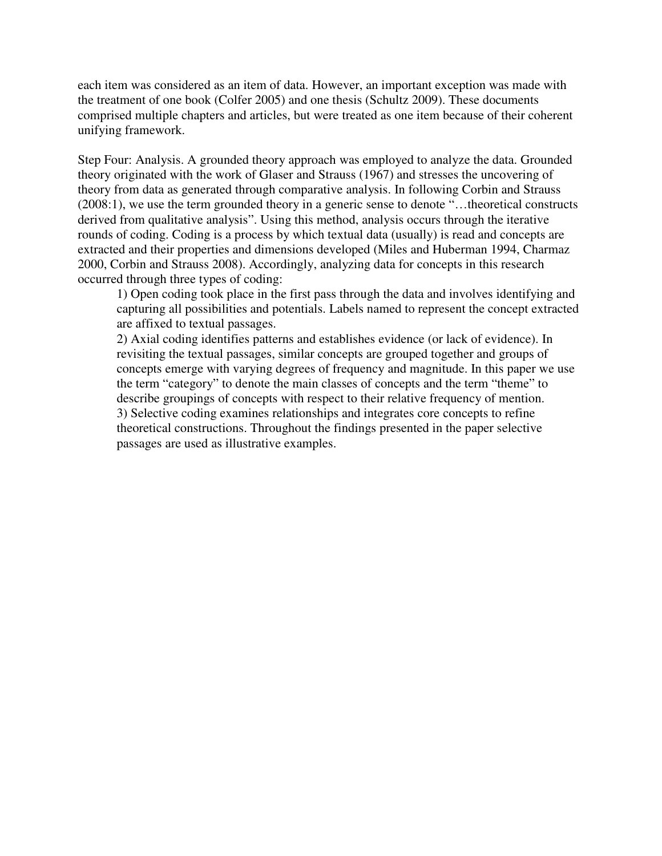each item was considered as an item of data. However, an important exception was made with the treatment of one book (Colfer 2005) and one thesis (Schultz 2009). These documents comprised multiple chapters and articles, but were treated as one item because of their coherent unifying framework.

Step Four: Analysis. A grounded theory approach was employed to analyze the data. Grounded theory originated with the work of Glaser and Strauss (1967) and stresses the uncovering of theory from data as generated through comparative analysis. In following Corbin and Strauss (2008:1), we use the term grounded theory in a generic sense to denote "…theoretical constructs derived from qualitative analysis". Using this method, analysis occurs through the iterative rounds of coding. Coding is a process by which textual data (usually) is read and concepts are extracted and their properties and dimensions developed (Miles and Huberman 1994, Charmaz 2000, Corbin and Strauss 2008). Accordingly, analyzing data for concepts in this research occurred through three types of coding:

1) Open coding took place in the first pass through the data and involves identifying and capturing all possibilities and potentials. Labels named to represent the concept extracted are affixed to textual passages.

2) Axial coding identifies patterns and establishes evidence (or lack of evidence). In revisiting the textual passages, similar concepts are grouped together and groups of concepts emerge with varying degrees of frequency and magnitude. In this paper we use the term "category" to denote the main classes of concepts and the term "theme" to describe groupings of concepts with respect to their relative frequency of mention. 3) Selective coding examines relationships and integrates core concepts to refine theoretical constructions. Throughout the findings presented in the paper selective passages are used as illustrative examples.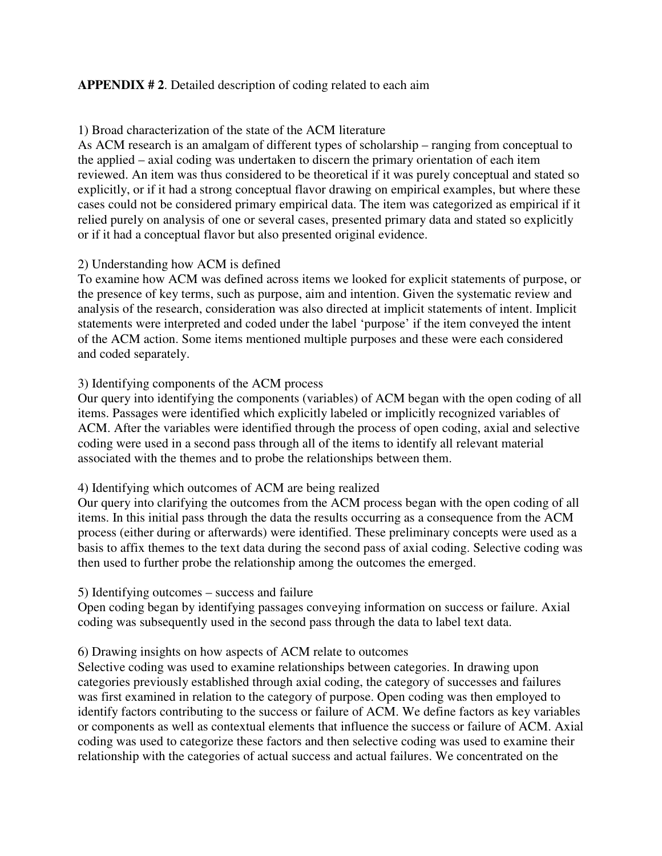## **APPENDIX # 2**. Detailed description of coding related to each aim

## 1) Broad characterization of the state of the ACM literature

As ACM research is an amalgam of different types of scholarship – ranging from conceptual to the applied – axial coding was undertaken to discern the primary orientation of each item reviewed. An item was thus considered to be theoretical if it was purely conceptual and stated so explicitly, or if it had a strong conceptual flavor drawing on empirical examples, but where these cases could not be considered primary empirical data. The item was categorized as empirical if it relied purely on analysis of one or several cases, presented primary data and stated so explicitly or if it had a conceptual flavor but also presented original evidence.

## 2) Understanding how ACM is defined

To examine how ACM was defined across items we looked for explicit statements of purpose, or the presence of key terms, such as purpose, aim and intention. Given the systematic review and analysis of the research, consideration was also directed at implicit statements of intent. Implicit statements were interpreted and coded under the label 'purpose' if the item conveyed the intent of the ACM action. Some items mentioned multiple purposes and these were each considered and coded separately.

## 3) Identifying components of the ACM process

Our query into identifying the components (variables) of ACM began with the open coding of all items. Passages were identified which explicitly labeled or implicitly recognized variables of ACM. After the variables were identified through the process of open coding, axial and selective coding were used in a second pass through all of the items to identify all relevant material associated with the themes and to probe the relationships between them.

## 4) Identifying which outcomes of ACM are being realized

Our query into clarifying the outcomes from the ACM process began with the open coding of all items. In this initial pass through the data the results occurring as a consequence from the ACM process (either during or afterwards) were identified. These preliminary concepts were used as a basis to affix themes to the text data during the second pass of axial coding. Selective coding was then used to further probe the relationship among the outcomes the emerged.

## 5) Identifying outcomes – success and failure

Open coding began by identifying passages conveying information on success or failure. Axial coding was subsequently used in the second pass through the data to label text data.

## 6) Drawing insights on how aspects of ACM relate to outcomes

Selective coding was used to examine relationships between categories. In drawing upon categories previously established through axial coding, the category of successes and failures was first examined in relation to the category of purpose. Open coding was then employed to identify factors contributing to the success or failure of ACM. We define factors as key variables or components as well as contextual elements that influence the success or failure of ACM. Axial coding was used to categorize these factors and then selective coding was used to examine their relationship with the categories of actual success and actual failures. We concentrated on the